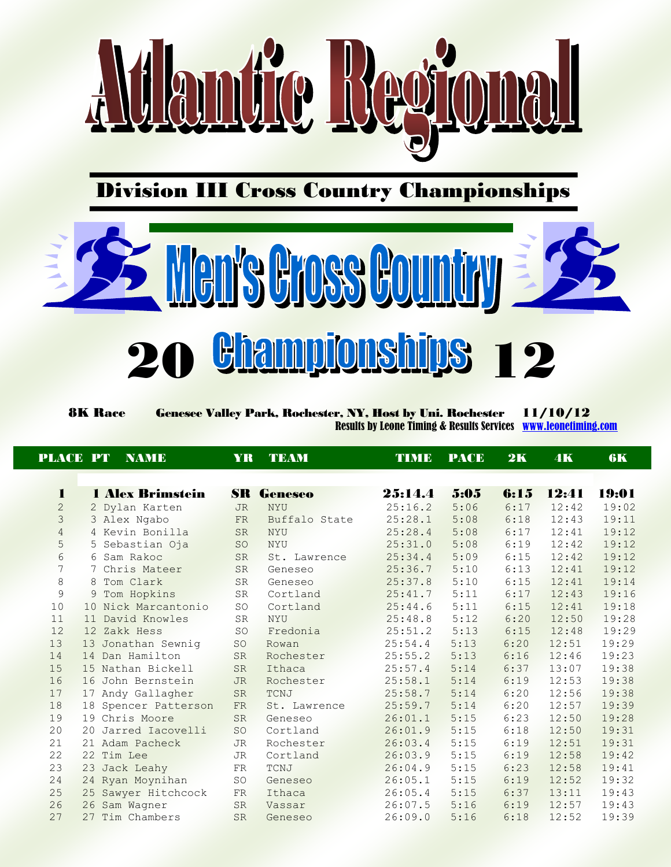

Division III Cross Country Championships



 8K Race Genesee Valley Park, Rochester, NY, Host by Uni. Rochester 11/10/12 Results by Leone Timing & Results Services [www.leonetiming.com](http://www.leonetiming.com/)

| 6K    | 4K    | 2K   | <b>PACE</b> | <b>TIME</b> | <b>TEAM</b>   | YR        | <b>NAME</b>          |    | <b>PLACE PT</b> |
|-------|-------|------|-------------|-------------|---------------|-----------|----------------------|----|-----------------|
| 19:01 | 12:41 | 6:15 | $5:05$      | 25:14.4     | Geneseo       | <b>SR</b> | 1 Alex Brimstein     |    | $\blacksquare$  |
| 19:02 | 12:42 | 6:17 | 5:06        | 25:16.2     | <b>NYU</b>    | <b>JR</b> | 2 Dylan Karten       |    | $\mathbf{2}$    |
| 19:11 | 12:43 | 6:18 | 5:08        | 25:28.1     | Buffalo State | FR        | 3 Alex Ngabo         |    | 3               |
| 19:12 | 12:41 | 6:17 | 5:08        | 25:28.4     | <b>NYU</b>    | <b>SR</b> | 4 Kevin Bonilla      |    | 4               |
| 19:12 | 12:42 | 6:19 | 5:08        | 25:31.0     | <b>NYU</b>    | SO        | 5 Sebastian Oja      |    | 5               |
| 19:12 | 12:42 | 6:15 | 5:09        | 25:34.4     | St. Lawrence  | <b>SR</b> | 6 Sam Rakoc          |    | 6               |
| 19:12 | 12:41 | 6:13 | 5:10        | 25:36.7     | Geneseo       | <b>SR</b> | Chris Mateer         |    | 7               |
| 19:14 | 12:41 | 6:15 | 5:10        | 25:37.8     | Geneseo       | <b>SR</b> | 8 Tom Clark          |    | 8               |
| 19:16 | 12:43 | 6:17 | 5:11        | 25:41.7     | Cortland      | <b>SR</b> | 9 Tom Hopkins        |    | 9               |
| 19:18 | 12:41 | 6:15 | 5:11        | 25:44.6     | Cortland      | <b>SO</b> | 10 Nick Marcantonio  |    | 10              |
| 19:28 | 12:50 | 6:20 | 5:12        | 25:48.8     | <b>NYU</b>    | <b>SR</b> | David Knowles        | 11 | 11              |
| 19:29 | 12:48 | 6:15 | 5:13        | 25:51.2     | Fredonia      | <b>SO</b> | 12 Zakk Hess         |    | 12              |
| 19:29 | 12:51 | 6:20 | 5:13        | 25:54.4     | Rowan         | <b>SO</b> | 13 Jonathan Sewnig   |    | 13              |
| 19:23 | 12:46 | 6:16 | 5:13        | 25:55.2     | Rochester     | <b>SR</b> | 14 Dan Hamilton      |    | 14              |
| 19:38 | 13:07 | 6:37 | 5:14        | 25:57.4     | Ithaca        | <b>SR</b> | 15 Nathan Bickell    |    | 15              |
| 19:38 | 12:53 | 6:19 | 5:14        | 25:58.1     | Rochester     | <b>JR</b> | 16 John Bernstein    |    | 16              |
| 19:38 | 12:56 | 6:20 | 5:14        | 25:58.7     | TCNJ          | <b>SR</b> | 17 Andy Gallagher    |    | 17              |
| 19:39 | 12:57 | 6:20 | 5:14        | 25:59.7     | St. Lawrence  | FR        | 18 Spencer Patterson |    | 18              |
| 19:28 | 12:50 | 6:23 | 5:15        | 26:01.1     | Geneseo       | <b>SR</b> | 19 Chris Moore       |    | 19              |
| 19:31 | 12:50 | 6:18 | 5:15        | 26:01.9     | Cortland      | <b>SO</b> | 20 Jarred Iacovelli  |    | 20              |
| 19:31 | 12:51 | 6:19 | 5:15        | 26:03.4     | Rochester     | <b>JR</b> | 21 Adam Pacheck      |    | 21              |
| 19:42 | 12:58 | 6:19 | 5:15        | 26:03.9     | Cortland      | <b>JR</b> | 22 Tim Lee           |    | 22              |
| 19:41 | 12:58 | 6:23 | 5:15        | 26:04.9     | TCNJ          | FR        | 23 Jack Leahy        |    | 23              |
| 19:32 | 12:52 | 6:19 | 5:15        | 26:05.1     | Geneseo       | <b>SO</b> | 24 Ryan Moynihan     |    | 24              |
| 19:43 | 13:11 | 6:37 | 5:15        | 26:05.4     | Ithaca        | FR        | 25 Sawyer Hitchcock  |    | 25              |
| 19:43 | 12:57 | 6:19 | 5:16        | 26:07.5     | Vassar        | <b>SR</b> | 26 Sam Wagner        |    | 26              |
| 19:39 | 12:52 | 6:18 | 5:16        | 26:09.0     | Geneseo       | <b>SR</b> | Tim Chambers         | 27 | 27              |
|       |       |      |             |             |               |           |                      |    |                 |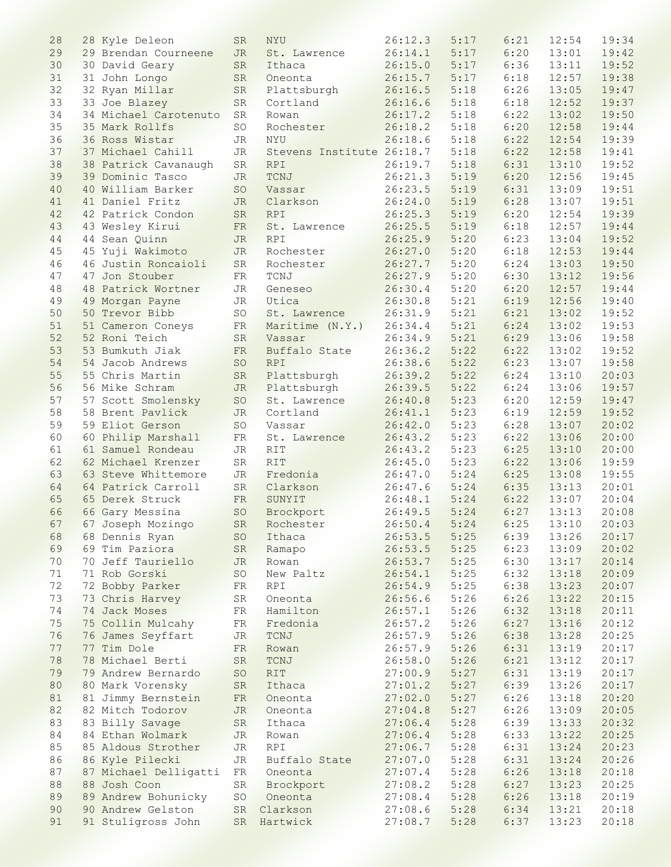| 28 | 28 Kyle Deleon        | <b>SR</b>  | <b>NYU</b>                | 26:12.3          | 5:17 | 6:21 | 12:54 | 19:34 |
|----|-----------------------|------------|---------------------------|------------------|------|------|-------|-------|
| 29 | 29 Brendan Courneene  | JR         | St. Lawrence              | 26:14.1          | 5:17 | 6:20 | 13:01 | 19:42 |
| 30 | 30 David Geary        |            | Ithaca                    | 26:15.0          | 5:17 | 6:36 |       | 19:52 |
|    |                       | SR         |                           |                  |      |      | 13:11 |       |
| 31 | 31 John Longo         | SR         | Oneonta                   | 26:15.7          | 5:17 | 6:18 | 12:57 | 19:38 |
| 32 | 32 Ryan Millar        | SR         | Plattsburgh               | 26:16.5          | 5:18 | 6:26 | 13:05 | 19:47 |
| 33 | 33 Joe Blazey         | SR         | Cortland                  | 26:16.6          | 5:18 | 6:18 | 12:52 | 19:37 |
| 34 | 34 Michael Carotenuto | SR         | Rowan                     | 26:17.2          | 5:18 | 6:22 | 13:02 | 19:50 |
| 35 | 35 Mark Rollfs        | SO         | Rochester                 | 26:18.2          | 5:18 | 6:20 | 12:58 | 19:44 |
| 36 | 36 Ross Wistar        | JR         | NYU                       | 26:18.6          | 5:18 | 6:22 | 12:54 | 19:39 |
| 37 | 37 Michael Cahill     | JR         | Stevens Institute 26:18.7 |                  | 5:18 | 6:22 | 12:58 | 19:41 |
| 38 | 38 Patrick Cavanaugh  | SR         | <b>RPI</b>                | 26:19.7          | 5:18 | 6:31 | 13:10 | 19:52 |
| 39 | 39 Dominic Tasco      | <b>JR</b>  | TCNJ                      | 26:21.3          | 5:19 | 6:20 | 12:56 | 19:45 |
| 40 | 40 William Barker     | SO         | Vassar                    | 26:23.5          | 5:19 | 6:31 | 13:09 | 19:51 |
|    |                       |            |                           |                  |      |      |       |       |
| 41 | 41 Daniel Fritz       | <b>JR</b>  | Clarkson                  | 26:24.0          | 5:19 | 6:28 | 13:07 | 19:51 |
| 42 | 42 Patrick Condon     | SR         | <b>RPI</b>                | 26:25.3          | 5:19 | 6:20 | 12:54 | 19:39 |
| 43 | 43 Wesley Kirui       | FR         | St. Lawrence              | 26:25.5          | 5:19 | 6:18 | 12:57 | 19:44 |
| 44 | 44 Sean Quinn         | JR         | <b>RPI</b>                | 26:25.9          | 5:20 | 6:23 | 13:04 | 19:52 |
| 45 | 45 Yuji Wakimoto      | <b>JR</b>  | Rochester                 | 26:27.0          | 5:20 | 6:18 | 12:53 | 19:44 |
| 46 | 46 Justin Roncaioli   | SR         | Rochester                 | 26:27.7          | 5:20 | 6:24 | 13:03 | 19:50 |
| 47 | 47 Jon Stouber        | ${\rm FR}$ | TCNJ                      | 26:27.9          | 5:20 | 6:30 | 13:12 | 19:56 |
| 48 | 48 Patrick Wortner    | JR         | Geneseo                   | 26:30.4          | 5:20 | 6:20 | 12:57 | 19:44 |
| 49 | 49 Morgan Payne       | JR         | Utica                     | 26:30.8          | 5:21 | 6:19 | 12:56 | 19:40 |
| 50 | 50 Trevor Bibb        | SO         | St. Lawrence              | 26:31.9          | 5:21 | 6:21 | 13:02 | 19:52 |
| 51 |                       | FR         | Maritime (N.Y.)           | 26:34.4          | 5:21 | 6:24 | 13:02 | 19:53 |
|    | 51 Cameron Coneys     |            |                           |                  |      |      |       |       |
| 52 | 52 Roni Teich         | SR         | Vassar                    | 26:34.9          | 5:21 | 6:29 | 13:06 | 19:58 |
| 53 | 53 Bumkuth Jiak       | FR         | Buffalo State             | 26:36.2          | 5:22 | 6:22 | 13:02 | 19:52 |
| 54 | 54 Jacob Andrews      | SO         | <b>RPI</b>                | 26:38.6          | 5:22 | 6:23 | 13:07 | 19:58 |
| 55 | 55 Chris Martin       | SR         | Plattsburgh               | 26:39.2          | 5:22 | 6:24 | 13:10 | 20:03 |
| 56 | 56 Mike Schram        | JR         | Plattsburgh               | 26:39.5          | 5:22 | 6:24 | 13:06 | 19:57 |
| 57 | 57 Scott Smolensky    | SO         | St. Lawrence              | 26:40.8          | 5:23 | 6:20 | 12:59 | 19:47 |
| 58 | 58 Brent Pavlick      | <b>JR</b>  | Cortland                  | 26:41.1          | 5:23 | 6:19 | 12:59 | 19:52 |
| 59 | 59 Eliot Gerson       | SO         | Vassar                    | 26:42.0          | 5:23 | 6:28 | 13:07 | 20:02 |
| 60 | 60 Philip Marshall    | FR         | St. Lawrence              | 26:43.2          | 5:23 | 6:22 | 13:06 | 20:00 |
| 61 | 61 Samuel Rondeau     | JR         | <b>RIT</b>                | 26:43.2          | 5:23 | 6:25 | 13:10 | 20:00 |
| 62 | 62 Michael Krenzer    | SR         | <b>RIT</b>                | 26:45.0          | 5:23 | 6:22 | 13:06 | 19:59 |
|    |                       |            |                           |                  |      |      |       |       |
| 63 | 63 Steve Whittemore   | JR         | Fredonia                  | 26:47.0          | 5:24 | 6:25 | 13:08 | 19:55 |
| 64 | 64 Patrick Carroll    | SR         | Clarkson                  | 26:47.6          | 5:24 | 6:35 | 13:13 | 20:01 |
| 65 | 65 Derek Struck       | FR         | SUNYIT                    | 26:48.1          | 5:24 | 6:22 | 13:07 | 20:04 |
| 66 | 66 Gary Messina       | SO         | Brockport                 | 26:49.5          | 5:24 | 6:27 | 13:13 | 20:08 |
| 67 | 67 Joseph Mozingo     |            | SR Rochester              | $26:50.4$ $5:24$ |      | 6:25 | 13:10 | 20:03 |
| 68 | 68 Dennis Ryan        | SO         | Ithaca                    | 26:53.5          | 5:25 | 6:39 | 13:26 | 20:17 |
| 69 | 69 Tim Paziora        | ${\rm SR}$ | Ramapo                    | 26:53.5          | 5:25 | 6:23 | 13:09 | 20:02 |
| 70 | 70 Jeff Tauriello     | JR         | Rowan                     | 26:53.7          | 5:25 | 6:30 | 13:17 | 20:14 |
| 71 | 71 Rob Gorski         | SO         | New Paltz                 | 26:54.1          | 5:25 | 6:32 | 13:18 | 20:09 |
| 72 | 72 Bobby Parker       | FR         | <b>RPI</b>                | 26:54.9          | 5:25 | 6:38 | 13:23 | 20:07 |
| 73 | 73 Chris Harvey       | SR         | Oneonta                   | 26:56.6          | 5:26 | 6:26 | 13:22 | 20:15 |
| 74 | 74 Jack Moses         | FR         | Hamilton                  | 26:57.1          | 5:26 | 6:32 | 13:18 | 20:11 |
|    |                       |            |                           |                  |      |      |       |       |
| 75 | 75 Collin Mulcahy     | FR         | Fredonia                  | 26:57.2          | 5:26 | 6:27 | 13:16 | 20:12 |
| 76 | 76 James Seyffart     | JR         | TCNJ                      | 26:57.9          | 5:26 | 6:38 | 13:28 | 20:25 |
| 77 | 77 Tim Dole           | FR         | Rowan                     | 26:57.9          | 5:26 | 6:31 | 13:19 | 20:17 |
| 78 | 78 Michael Berti      | SR         | TCNJ                      | 26:58.0          | 5:26 | 6:21 | 13:12 | 20:17 |
| 79 | 79 Andrew Bernardo    | SO         | RIT                       | 27:00.9          | 5:27 | 6:31 | 13:19 | 20:17 |
| 80 | 80 Mark Vorensky      | SR         | Ithaca                    | 27:01.2          | 5:27 | 6:39 | 13:26 | 20:17 |
| 81 | 81 Jimmy Bernstein    | FR         | Oneonta                   | 27:02.0          | 5:27 | 6:26 | 13:18 | 20:20 |
| 82 | 82 Mitch Todorov      | JR         | Oneonta                   | 27:04.8          | 5:27 | 6:26 | 13:09 | 20:05 |
| 83 | 83 Billy Savage       | ${\rm SR}$ | Ithaca                    | 27:06.4          | 5:28 | 6:39 | 13:33 | 20:32 |
| 84 | 84 Ethan Wolmark      | <b>JR</b>  | Rowan                     | 27:06.4          | 5:28 | 6:33 | 13:22 | 20:25 |
| 85 |                       |            |                           |                  |      | 6:31 | 13:24 | 20:23 |
|    | 85 Aldous Strother    | <b>JR</b>  | <b>RPI</b>                | 27:06.7          | 5:28 |      |       |       |
| 86 | 86 Kyle Pilecki       | JR         | Buffalo State             | 27:07.0          | 5:28 | 6:31 | 13:24 | 20:26 |
| 87 | 87 Michael Delligatti | FR         | Oneonta                   | 27:07.4          | 5:28 | 6:26 | 13:18 | 20:18 |
| 88 | 88 Josh Coon          | SR         | Brockport                 | 27:08.2          | 5:28 | 6:27 | 13:23 | 20:25 |
| 89 | 89 Andrew Bohunicky   | SO         | Oneonta                   | 27:08.4          | 5:28 | 6:26 | 13:18 | 20:19 |
| 90 | 90 Andrew Gelston     | SR         | Clarkson                  | 27:08.6          | 5:28 | 6:34 | 13:21 | 20:18 |
| 91 | 91 Stuligross John    | SR         | Hartwick                  | 27:08.7          | 5:28 | 6:37 | 13:23 | 20:18 |
|    |                       |            |                           |                  |      |      |       |       |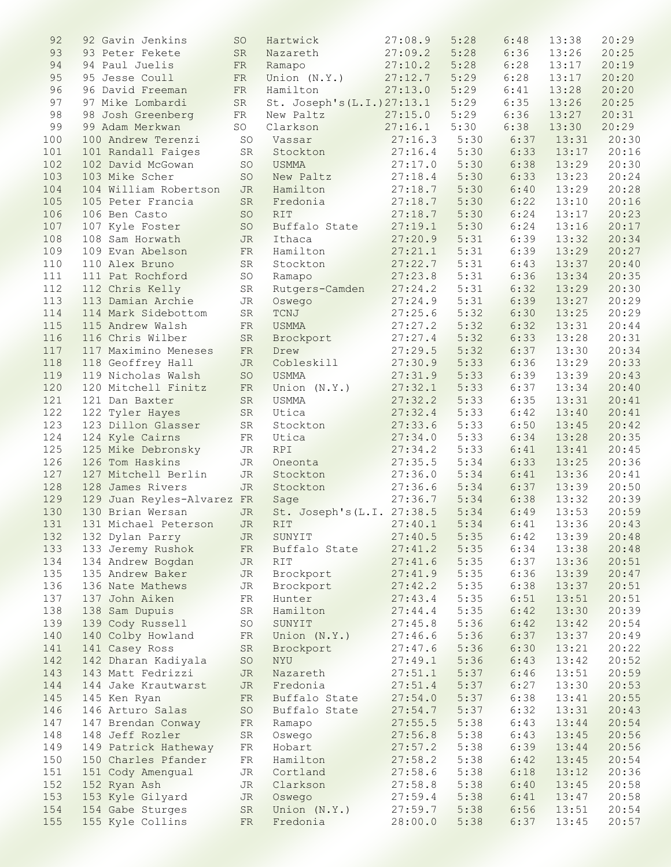| 92  | 92 Gavin Jenkins              | <b>SO</b>  | Hartwick                    | 27:08.9        | 5:28 | 6:48 | 13:38                         | 20:29 |
|-----|-------------------------------|------------|-----------------------------|----------------|------|------|-------------------------------|-------|
| 93  | 93 Peter Fekete               | SR         | Nazareth                    | 27:09.2        | 5:28 | 6:36 | 13:26                         | 20:25 |
| 94  | 94 Paul Juelis                | ${\rm FR}$ | Ramapo                      | 27:10.2        | 5:28 | 6:28 | 13:17                         | 20:19 |
| 95  | 95 Jesse Coull                | FR         | Union (N.Y.)                | 27:12.7        | 5:29 | 6:28 | 13:17                         | 20:20 |
| 96  | 96 David Freeman              | ${\rm FR}$ | Hamilton                    | 27:13.0        | 5:29 | 6:41 | 13:28                         | 20:20 |
| 97  | 97 Mike Lombardi              | SR         | St. Joseph's (L.I.) 27:13.1 |                | 5:29 | 6:35 | 13:26                         | 20:25 |
| 98  | 98 Josh Greenberg             | ${\rm FR}$ | New Paltz                   | 27:15.0        | 5:29 | 6:36 | 13:27                         | 20:31 |
|     |                               |            |                             |                |      |      |                               |       |
| 99  | 99 Adam Merkwan               | SO         | Clarkson                    | 27:16.1        | 5:30 | 6:38 | 13:30                         | 20:29 |
| 100 | 100 Andrew Terenzi            | SO         | Vassar                      | 27:16.3        | 5:30 | 6:37 | 13:31                         | 20:30 |
| 101 | 101 Randall Faiges            | SR         | Stockton                    | 27:16.4        | 5:30 | 6:33 | 13:17                         | 20:16 |
| 102 | 102 David McGowan             | SO         | <b>USMMA</b>                | 27:17.0        | 5:30 | 6:38 | 13:29                         | 20:30 |
| 103 | 103 Mike Scher                | SO         | New Paltz                   | 27:18.4        | 5:30 | 6:33 | 13:23                         | 20:24 |
| 104 | 104 William Robertson         | <b>JR</b>  | Hamilton                    | 27:18.7        | 5:30 | 6:40 | 13:29                         | 20:28 |
| 105 | 105 Peter Francia             | SR         | Fredonia                    | 27:18.7        | 5:30 | 6:22 | 13:10                         | 20:16 |
| 106 | 106 Ben Casto                 | <b>SO</b>  | <b>RIT</b>                  | 27:18.7        | 5:30 | 6:24 | 13:17                         | 20:23 |
| 107 | 107 Kyle Foster               | SO         | Buffalo State               | 27:19.1        | 5:30 | 6:24 | 13:16                         | 20:17 |
| 108 | 108 Sam Horwath               | <b>JR</b>  | Ithaca                      | 27:20.9        | 5:31 | 6:39 | 13:32                         | 20:34 |
| 109 | 109 Evan Abelson              | FR         | Hamilton                    | 27:21.1        | 5:31 | 6:39 | 13:29                         | 20:27 |
| 110 | 110 Alex Bruno                | SR         | Stockton                    | 27:22.7        | 5:31 | 6:43 | 13:37                         | 20:40 |
|     |                               |            |                             |                |      |      |                               |       |
| 111 | 111 Pat Rochford              | SO         | Ramapo                      | 27:23.8        | 5:31 | 6:36 | 13:34                         | 20:35 |
| 112 | 112 Chris Kelly               | SR         | Rutgers-Camden              | 27:24.2        | 5:31 | 6:32 | 13:29                         | 20:30 |
| 113 | 113 Damian Archie             | <b>JR</b>  | Oswego                      | 27:24.9        | 5:31 | 6:39 | 13:27                         | 20:29 |
| 114 | 114 Mark Sidebottom           | <b>SR</b>  | TCNJ                        | 27:25.6        | 5:32 | 6:30 | 13:25                         | 20:29 |
| 115 | 115 Andrew Walsh              | FR         | USMMA                       | 27:27.2        | 5:32 | 6:32 | 13:31                         | 20:44 |
| 116 | 116 Chris Wilber              | SR         | Brockport                   | 27:27.4        | 5:32 | 6:33 | 13:28                         | 20:31 |
| 117 | 117 Maximino Meneses          | FR         | Drew                        | 27:29.5        | 5:32 | 6:37 | 13:30                         | 20:34 |
| 118 | 118 Geoffrey Hall             | <b>JR</b>  | Cobleskill                  | 27:30.9        | 5:33 | 6:36 | 13:29                         | 20:33 |
| 119 | 119 Nicholas Walsh            | <b>SO</b>  | <b>USMMA</b>                | 27:31.9        | 5:33 | 6:39 | 13:39                         | 20:43 |
| 120 | 120 Mitchell Finitz           | ${\rm FR}$ | Union (N.Y.)                | 27:32.1        | 5:33 | 6:37 | 13:34                         | 20:40 |
| 121 | 121 Dan Baxter                | SR         | <b>USMMA</b>                | 27:32.2        | 5:33 | 6:35 | 13:31                         | 20:41 |
|     |                               |            |                             |                |      | 6:42 |                               | 20:41 |
| 122 | 122 Tyler Hayes               | SR         | Utica                       | 27:32.4        | 5:33 |      | 13:40                         |       |
| 123 | 123 Dillon Glasser            | SR         | Stockton                    | 27:33.6        | 5:33 | 6:50 | 13:45                         | 20:42 |
| 124 | 124 Kyle Cairns               | FR         | Utica                       | 27:34.0        | 5:33 | 6:34 | 13:28                         | 20:35 |
| 125 | 125 Mike Debronsky            | JR         | <b>RPI</b>                  | 27:34.2        | 5:33 | 6:41 | 13:41                         | 20:45 |
| 126 | 126 Tom Haskins               | JR.        | Oneonta                     | 27:35.5        | 5:34 | 6:33 | 13:25                         | 20:36 |
| 127 | 127 Mitchell Berlin           | JR         | Stockton                    | 27:36.0        | 5:34 | 6:41 | 13:36                         | 20:41 |
| 128 | 128 James Rivers              | <b>JR</b>  | Stockton                    | 27:36.6        | 5:34 | 6:37 | 13:39                         | 20:50 |
| 129 | 129 Juan Reyles-Alvarez FR    |            | Sage                        | 27:36.7        | 5:34 | 6:38 | 13:32                         | 20:39 |
| 130 | 130 Brian Wersan              | <b>JR</b>  | St. Joseph's (L.I. 27:38.5  |                | 5:34 | 6:49 | 13:53                         | 20:59 |
| 131 | 131 Michael Peterson JR RIT   |            |                             | 27:40.1        |      |      | $5:34$ $6:41$ $13:36$ $20:43$ |       |
| 132 | 132 Dylan Parry               | JR         | SUNYIT                      | $27:40.5$ 5:35 |      | 6:42 | 13:39                         | 20:48 |
| 133 | 133 Jeremy Rushok FR          |            | Buffalo State 27:41.2       |                | 5:35 | 6:34 | 13:38                         | 20:48 |
| 134 | 134 Andrew Bogdan             | JR         | <b>RIT</b>                  | 27:41.6        | 5:35 | 6:37 | 13:36                         | 20:51 |
| 135 | 135 Andrew Baker              | <b>JR</b>  | Brockport                   | 27:41.9        | 5:35 | 6:36 | 13:39                         | 20:47 |
|     |                               |            |                             |                |      |      | 13:37                         |       |
| 136 | 136 Nate Mathews              | <b>JR</b>  | Brockport 27:42.2           |                | 5:35 | 6:38 |                               | 20:51 |
| 137 | 137 John Aiken                | FR         | Hunter                      | 27:43.4        | 5:35 | 6:51 | 13:51                         | 20:51 |
| 138 | 138 Sam Dupuis                | SR         | Hamilton                    | 27:44.4        | 5:35 | 6:42 | 13:30                         | 20:39 |
| 139 | 139 Cody Russell              | SO         | SUNYIT                      | 27:45.8        | 5:36 | 6:42 | 13:42                         | 20:54 |
| 140 | 140 Colby Howland             | FR         | Union (N.Y.)                | 27:46.6        | 5:36 | 6:37 | 13:37                         | 20:49 |
| 141 | 141 Casey Ross                | SR         | Brockport                   | 27:47.6        | 5:36 | 6:30 | 13:21                         | 20:22 |
| 142 | 142 Dharan Kadiyala           | SO         | NYU                         | 27:49.1        | 5:36 | 6:43 | 13:42                         | 20:52 |
| 143 | 143 Matt Fedrizzi             | JR         | Nazareth                    | 27:51.1        | 5:37 | 6:46 | 13:51                         | 20:59 |
| 144 | 144 Jake Krautwarst           | JR         | Fredonia                    | 27:51.4        | 5:37 | 6:27 | 13:30                         | 20:53 |
| 145 | 145 Ken Ryan                  | FR         | Buffalo State 27:54.0       |                | 5:37 | 6:38 | 13:41                         | 20:55 |
| 146 | 146 Arturo Salas              | SO         | Buffalo State 27:54.7       |                | 5:37 | 6:32 | 13:31                         | 20:43 |
| 147 | 147 Brendan Conway            | FR         | Ramapo                      | 27:55.5        | 5:38 | 6:43 | 13:44                         | 20:54 |
| 148 | 148 Jeff Rozler               |            |                             |                | 5:38 | 6:43 | 13:45                         | 20:56 |
|     |                               | SR         | Oswego                      | 27:56.8        |      |      |                               |       |
| 149 | 149 Patrick Hatheway          | $-FR$      | Hobart                      | 27:57.2        | 5:38 | 6:39 | 13:44                         | 20:56 |
| 150 | 150 Charles Pfander           | FR         | Hamilton                    | 27:58.2        | 5:38 | 6:42 | 13:45                         | 20:54 |
| 151 | 151 Cody Amengual             | JR         | Cortland                    | 27:58.6        | 5:38 | 6:18 | 13:12                         | 20:36 |
| 152 | 152 Ryan Ash                  | JR         | Clarkson                    | 27:58.8        | 5:38 | 6:40 | 13:45                         | 20:58 |
| 153 | 153 Kyle Gilyard              | JR         | Oswego                      | 27:59.4        | 5:38 | 6:41 | 13:47                         | 20:58 |
| 154 | 154 Gabe Sturges              | SR         | Union (N.Y.)                | 27:59.7        | 5:38 | 6:56 | 13:51                         | 20:54 |
| 155 | 155 Kyle Collins<br><b>ER</b> |            | Fredonia                    | 28:00.0        | 5:38 | 6:37 | 13:45                         | 20:57 |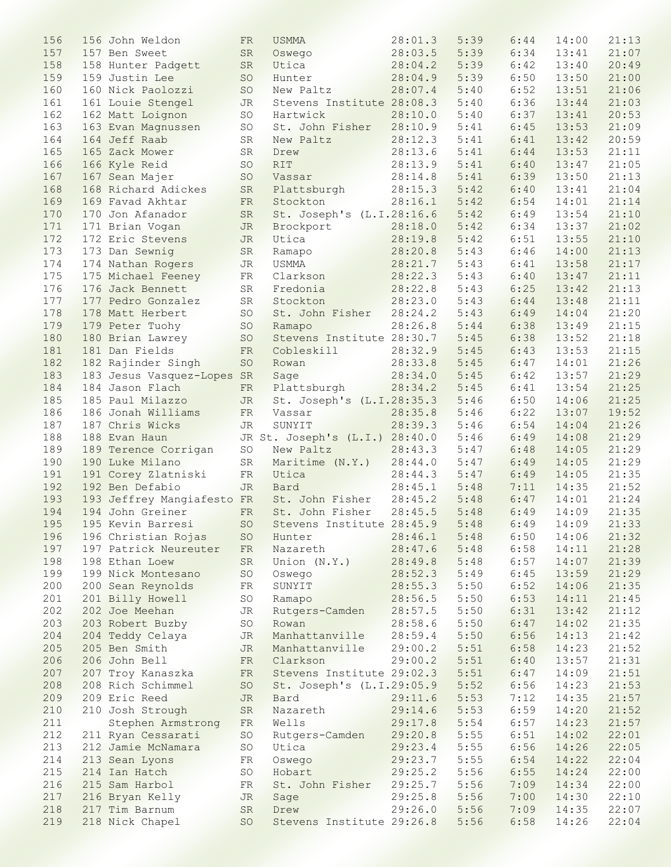| 156 | 156 John Weldon                                                          | FR.        | <b>USMMA</b>                   | 28:01.3 | 5:39 | 6:44 | 14:00 | 21:13 |
|-----|--------------------------------------------------------------------------|------------|--------------------------------|---------|------|------|-------|-------|
| 157 | 157 Ben Sweet                                                            | <b>SR</b>  | Oswego                         | 28:03.5 | 5:39 | 6:34 | 13:41 | 21:07 |
| 158 |                                                                          | <b>SR</b>  | Utica                          | 28:04.2 | 5:39 | 6:42 | 13:40 | 20:49 |
|     | 158 Hunter Padgett                                                       |            |                                |         |      |      |       |       |
| 159 | 159 Justin Lee                                                           | SO         | Hunter                         | 28:04.9 | 5:39 | 6:50 | 13:50 | 21:00 |
| 160 | 160 Nick Paolozzi                                                        | SO         | New Paltz                      | 28:07.4 | 5:40 | 6:52 | 13:51 | 21:06 |
| 161 | 161 Louie Stengel                                                        | <b>JR</b>  | Stevens Institute 28:08.3      |         | 5:40 | 6:36 | 13:44 | 21:03 |
| 162 | 162 Matt Loignon                                                         | SO         | Hartwick                       | 28:10.0 | 5:40 | 6:37 | 13:41 | 20:53 |
| 163 | 163 Evan Magnussen                                                       | SO         | St. John Fisher                | 28:10.9 | 5:41 | 6:45 | 13:53 | 21:09 |
| 164 | 164 Jeff Raab                                                            | <b>SR</b>  | New Paltz                      | 28:12.3 | 5:41 | 6:41 | 13:42 | 20:59 |
| 165 | 165 Zack Mower                                                           | <b>SR</b>  | Drew                           | 28:13.6 | 5:41 | 6:44 | 13:53 | 21:11 |
|     | 166 Kyle Reid                                                            |            |                                |         | 5:41 |      | 13:47 | 21:05 |
| 166 |                                                                          | <b>SO</b>  | <b>RIT</b>                     | 28:13.9 |      | 6:40 |       |       |
| 167 | 167 Sean Majer                                                           | <b>SO</b>  | Vassar                         | 28:14.8 | 5:41 | 6:39 | 13:50 | 21:13 |
| 168 | 168 Richard Adickes                                                      | ${\rm SR}$ | Plattsburgh                    | 28:15.3 | 5:42 | 6:40 | 13:41 | 21:04 |
| 169 | 169 Favad Akhtar                                                         | ${\rm FR}$ | Stockton                       | 28:16.1 | 5:42 | 6:54 | 14:01 | 21:14 |
| 170 | 170 Jon Afanador                                                         | ${\rm SR}$ | St. Joseph's (L.I.28:16.6      |         | 5:42 | 6:49 | 13:54 | 21:10 |
| 171 | 171 Brian Vogan                                                          | <b>JR</b>  | Brockport                      | 28:18.0 | 5:42 | 6:34 | 13:37 | 21:02 |
| 172 | 172 Eric Stevens                                                         | JR.        | Utica                          | 28:19.8 | 5:42 | 6:51 | 13:55 | 21:10 |
| 173 | 173 Dan Sewnig                                                           | SR         | Ramapo                         | 28:20.8 | 5:43 | 6:46 | 14:00 | 21:13 |
| 174 |                                                                          |            |                                |         | 5:43 |      | 13:58 | 21:17 |
|     | 174 Nathan Rogers                                                        | <b>JR</b>  | USMMA                          | 28:21.7 |      | 6:41 |       |       |
| 175 | 175 Michael Feeney                                                       | ${\rm FR}$ | Clarkson                       | 28:22.3 | 5:43 | 6:40 | 13:47 | 21:11 |
| 176 | 176 Jack Bennett                                                         | SR         | Fredonia                       | 28:22.8 | 5:43 | 6:25 | 13:42 | 21:13 |
| 177 | 177 Pedro Gonzalez                                                       | SR         | Stockton                       | 28:23.0 | 5:43 | 6:44 | 13:48 | 21:11 |
| 178 | 178 Matt Herbert                                                         | SO         | St. John Fisher                | 28:24.2 | 5:43 | 6:49 | 14:04 | 21:20 |
| 179 | 179 Peter Tuohy                                                          | <b>SO</b>  | Ramapo                         | 28:26.8 | 5:44 | 6:38 | 13:49 | 21:15 |
| 180 | 180 Brian Lawrey                                                         | <b>SO</b>  | Stevens Institute 28:30.7      |         | 5:45 | 6:38 | 13:52 | 21:18 |
| 181 | 181 Dan Fields                                                           | FR         | Cobleskill                     | 28:32.9 | 5:45 | 6:43 | 13:53 | 21:15 |
|     |                                                                          |            |                                |         |      |      |       |       |
| 182 | 182 Rajinder Singh                                                       | <b>SO</b>  | Rowan                          | 28:33.8 | 5:45 | 6:47 | 14:01 | 21:26 |
| 183 | 183 Jesus Vasquez-Lopes SR                                               |            | Sage                           | 28:34.0 | 5:45 | 6:42 | 13:57 | 21:29 |
| 184 | 184 Jason Flach                                                          | FR         | Plattsburgh                    | 28:34.2 | 5:45 | 6:41 | 13:54 | 21:25 |
| 185 | 185 Paul Milazzo                                                         | <b>JR</b>  | St. Joseph's (L.I.28:35.3)     |         | 5:46 | 6:50 | 14:06 | 21:25 |
| 186 | 186 Jonah Williams                                                       | ${\rm FR}$ | Vassar                         | 28:35.8 | 5:46 | 6:22 | 13:07 | 19:52 |
| 187 | 187 Chris Wicks                                                          | <b>JR</b>  | SUNYIT                         | 28:39.3 | 5:46 | 6:54 | 14:04 | 21:26 |
| 188 | 188 Evan Haun                                                            |            | JR St. Joseph's (L.I.) 28:40.0 |         | 5:46 | 6:49 | 14:08 | 21:29 |
| 189 | 189 Terence Corrigan                                                     | <b>SO</b>  | New Paltz                      | 28:43.3 | 5:47 | 6:48 | 14:05 | 21:29 |
|     | 190 Luke Milano                                                          |            |                                | 28:44.0 | 5:47 | 6:49 |       | 21:29 |
| 190 |                                                                          | SR         | Maritime (N.Y.)                |         |      |      | 14:05 |       |
| 191 | 191 Corey Zlatniski                                                      | FR         | Utica                          | 28:44.3 | 5:47 | 6:49 | 14:05 | 21:35 |
| 192 | 192 Ben Defabio                                                          | <b>JR</b>  | Bard                           | 28:45.1 | 5:48 | 7:11 | 14:35 | 21:52 |
| 193 | 193 Jeffrey Mangiafesto FR                                               |            | St. John Fisher                | 28:45.2 | 5:48 | 6:47 | 14:01 | 21:24 |
| 194 | 194 John Greiner                                                         | <b>FR</b>  | St. John Fisher                | 28:45.5 | 5:48 | 6:49 | 14:09 | 21:35 |
|     | 195 195 Kevin Barresi SO Stevens Institute 28:45.9 5:48 6:49 14:09 21:33 |            |                                |         |      |      |       |       |
| 196 | 196 Christian Rojas                                                      | <b>SO</b>  | Hunter                         | 28:46.1 | 5:48 | 6:50 | 14:06 | 21:32 |
| 197 | 197 Patrick Neureuter                                                    | FR         | Nazareth                       | 28:47.6 | 5:48 | 6:58 | 14:11 | 21:28 |
| 198 | 198 Ethan Loew                                                           | SR         | Union (N.Y.)                   | 28:49.8 | 5:48 | 6:57 | 14:07 | 21:39 |
|     |                                                                          |            |                                |         |      |      | 13:59 |       |
| 199 | 199 Nick Montesano                                                       | SO.        | Oswego                         | 28:52.3 | 5:49 | 6:45 |       | 21:29 |
| 200 | 200 Sean Reynolds                                                        | FR         | SUNYIT                         | 28:55.3 | 5:50 | 6:52 | 14:06 | 21:35 |
| 201 | 201 Billy Howell                                                         | SO         | Ramapo                         | 28:56.5 | 5:50 | 6:53 | 14:11 | 21:45 |
| 202 | 202 Joe Meehan                                                           | <b>JR</b>  | Rutgers-Camden                 | 28:57.5 | 5:50 | 6:31 | 13:42 | 21:12 |
| 203 | 203 Robert Buzby                                                         | SO         | Rowan                          | 28:58.6 | 5:50 | 6:47 | 14:02 | 21:35 |
| 204 | 204 Teddy Celaya                                                         | JR         | Manhattanville                 | 28:59.4 | 5:50 | 6:56 | 14:13 | 21:42 |
| 205 | 205 Ben Smith                                                            | <b>JR</b>  | Manhattanville                 | 29:00.2 | 5:51 | 6:58 | 14:23 | 21:52 |
| 206 | 206 John Bell                                                            | FR         | Clarkson                       | 29:00.2 | 5:51 | 6:40 | 13:57 | 21:31 |
|     |                                                                          |            |                                |         |      |      |       |       |
| 207 | 207 Troy Kanaszka                                                        | ${\rm FR}$ | Stevens Institute 29:02.3      |         | 5:51 | 6:47 | 14:09 | 21:51 |
| 208 | 208 Rich Schimmel                                                        | SO         | St. Joseph's (L.I.29:05.9      |         | 5:52 | 6:56 | 14:23 | 21:53 |
| 209 | 209 Eric Reed                                                            | <b>JR</b>  | Bard                           | 29:11.6 | 5:53 | 7:12 | 14:35 | 21:57 |
| 210 | 210 Josh Strough                                                         | ${\rm SR}$ | Nazareth                       | 29:14.6 | 5:53 | 6:59 | 14:20 | 21:52 |
| 211 | Stephen Armstrong                                                        | FR         | Wells                          | 29:17.8 | 5:54 | 6:57 | 14:23 | 21:57 |
| 212 | 211 Ryan Cessarati                                                       | <b>SO</b>  | Rutgers-Camden                 | 29:20.8 | 5:55 | 6:51 | 14:02 | 22:01 |
| 213 | 212 Jamie McNamara                                                       | SO         | Utica                          | 29:23.4 | 5:55 | 6:56 | 14:26 | 22:05 |
| 214 |                                                                          |            |                                |         | 5:55 | 6:54 | 14:22 | 22:04 |
|     | 213 Sean Lyons                                                           | FR         | Oswego                         | 29:23.7 |      |      |       |       |
| 215 | 214 Ian Hatch                                                            | SO         | Hobart                         | 29:25.2 | 5:56 | 6:55 | 14:24 | 22:00 |
| 216 | 215 Sam Harbol                                                           | FR         | St. John Fisher                | 29:25.7 | 5:56 | 7:09 | 14:34 | 22:00 |
| 217 | 216 Bryan Kelly                                                          | JR         | Sage                           | 29:25.8 | 5:56 | 7:00 | 14:30 | 22:10 |
|     |                                                                          |            |                                |         |      |      |       |       |
| 218 | 217 Tim Barnum                                                           | SR.        | Drew                           | 29:26.0 | 5:56 | 7:09 | 14:35 | 22:07 |
| 219 | 218 Nick Chapel                                                          | <b>SO</b>  | Stevens Institute 29:26.8      |         | 5:56 | 6:58 | 14:26 | 22:04 |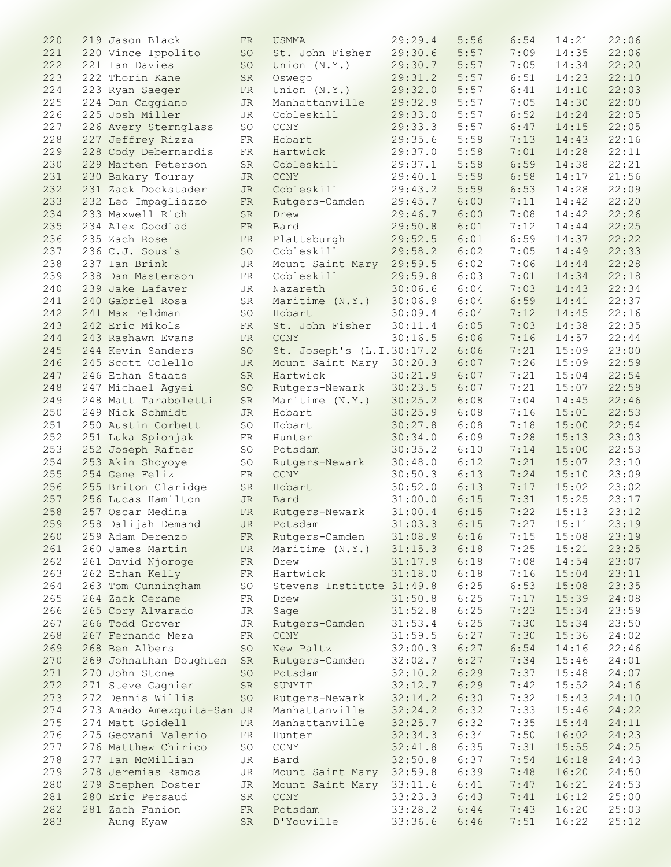|     |                            |            |                           |                  | 5:56 | 6:54 |                | 22:06 |
|-----|----------------------------|------------|---------------------------|------------------|------|------|----------------|-------|
| 220 | 219 Jason Black            | FR.        | <b>USMMA</b>              | 29:29.4          |      |      | 14:21          |       |
| 221 | 220 Vince Ippolito         | <b>SO</b>  | St. John Fisher           | 29:30.6          | 5:57 | 7:09 | 14:35          | 22:06 |
| 222 | 221 Ian Davies             | <b>SO</b>  | Union (N.Y.)              | 29:30.7          | 5:57 | 7:05 | 14:34          | 22:20 |
| 223 | 222 Thorin Kane            | SR         | Oswego                    | 29:31.2          | 5:57 | 6:51 | 14:23          | 22:10 |
|     |                            |            |                           |                  |      |      |                |       |
| 224 | 223 Ryan Saeger            | ${\rm FR}$ | Union (N.Y.)              | 29:32.0          | 5:57 | 6:41 | 14:10          | 22:03 |
| 225 | 224 Dan Caggiano           | <b>JR</b>  | Manhattanville            | 29:32.9          | 5:57 | 7:05 | 14:30          | 22:00 |
| 226 | 225 Josh Miller            | <b>JR</b>  | Cobleskill                | 29:33.0          | 5:57 | 6:52 | 14:24          | 22:05 |
| 227 | 226 Avery Sternglass       | <b>SO</b>  | CCNY                      | 29:33.3          | 5:57 | 6:47 | 14:15          | 22:05 |
|     |                            |            |                           |                  |      |      |                |       |
| 228 | 227 Jeffrey Rizza          | FR         | Hobart                    | 29:35.6          | 5:58 | 7:13 | 14:43          | 22:16 |
| 229 | 228 Cody Debernardis       | FR         | Hartwick                  | 29:37.0          | 5:58 | 7:01 | 14:28          | 22:11 |
| 230 | 229 Marten Peterson        | <b>SR</b>  | Cobleskill                | 29:37.1          | 5:58 | 6:59 | 14:38          | 22:21 |
|     |                            |            |                           |                  |      |      |                |       |
| 231 | 230 Bakary Touray          | <b>JR</b>  | CCNY                      | 29:40.1          | 5:59 | 6:58 | 14:17          | 21:56 |
| 232 | 231 Zack Dockstader        | <b>JR</b>  | Cobleskill                | 29:43.2          | 5:59 | 6:53 | 14:28          | 22:09 |
| 233 | 232 Leo Impagliazzo        | ${\rm FR}$ | Rutgers-Camden            | 29:45.7          | 6:00 | 7:11 | 14:42          | 22:20 |
| 234 | 233 Maxwell Rich           | <b>SR</b>  | Drew                      | 29:46.7          | 6:00 | 7:08 | 14:42          | 22:26 |
|     |                            |            |                           |                  |      |      |                |       |
| 235 | 234 Alex Goodlad           | FR         | Bard                      | 29:50.8          | 6:01 | 7:12 | 14:44          | 22:25 |
| 236 | 235 Zach Rose              | FR         | Plattsburgh               | 29:52.5          | 6:01 | 6:59 | 14:37          | 22:22 |
| 237 | 236 C.J. Sousis            | SO         | Cobleskill                | 29:58.2          | 6:02 | 7:05 | 14:49          | 22:33 |
| 238 | 237 Ian Brink              | <b>JR</b>  | Mount Saint Mary          | 29:59.5          | 6:02 | 7:06 | 14:44          | 22:28 |
|     |                            |            |                           |                  |      |      |                |       |
| 239 | 238 Dan Masterson          | ${\rm FR}$ | Cobleskill                | 29:59.8          | 6:03 | 7:01 | 14:34          | 22:18 |
| 240 | 239 Jake Lafaver           | JR         | Nazareth                  | 30:06.6          | 6:04 | 7:03 | 14:43          | 22:34 |
| 241 | 240 Gabriel Rosa           | SR         | Maritime (N.Y.)           | 30:06.9          | 6:04 | 6:59 | 14:41          | 22:37 |
|     |                            |            |                           |                  |      |      |                |       |
| 242 | 241 Max Feldman            | SO         | Hobart                    | 30:09.4          | 6:04 | 7:12 | 14:45          | 22:16 |
| 243 | 242 Eric Mikols            | ${\rm FR}$ | St. John Fisher           | 30:11.4          | 6:05 | 7:03 | 14:38          | 22:35 |
| 244 | 243 Rashawn Evans          | FR         | CCNY                      | 30:16.5          | 6:06 | 7:16 | 14:57          | 22:44 |
| 245 | 244 Kevin Sanders          | SO         | St. Joseph's (L.I.30:17.2 |                  | 6:06 | 7:21 | 15:09          | 23:00 |
|     |                            |            |                           |                  |      |      |                |       |
| 246 | 245 Scott Colello          | <b>JR</b>  | Mount Saint Mary 30:20.3  |                  | 6:07 | 7:26 | 15:09          | 22:59 |
| 247 | 246 Ethan Staats           | SR         | Hartwick                  | 30:21.9          | 6:07 | 7:21 | 15:04          | 22:54 |
| 248 | 247 Michael Agyei          | SO         | Rutgers-Newark            | 30:23.5          | 6:07 | 7:21 | 15:07          | 22:59 |
|     |                            |            |                           |                  |      |      |                | 22:46 |
| 249 | 248 Matt Taraboletti       | SR         | Maritime (N.Y.)           | 30:25.2          | 6:08 | 7:04 | 14:45          |       |
| 250 | 249 Nick Schmidt           | <b>JR</b>  | Hobart                    | 30:25.9          | 6:08 | 7:16 | 15:01          | 22:53 |
| 251 | 250 Austin Corbett         | SO         | Hobart                    | 30:27.8          | 6:08 | 7:18 | 15:00          | 22:54 |
| 252 | 251 Luka Spionjak          | FR         | Hunter                    | 30:34.0          | 6:09 | 7:28 | 15:13          | 23:03 |
|     |                            |            |                           |                  |      |      |                |       |
| 253 | 252 Joseph Rafter          | <b>SO</b>  | Potsdam                   | 30:35.2          | 6:10 | 7:14 | 15:00          | 22:53 |
| 254 | 253 Akin Shoyoye           | SO         | Rutgers-Newark            | 30:48.0          | 6:12 | 7:21 | 15:07          | 23:10 |
| 255 | 254 Gene Feliz             | FR         | CCNY                      | 30:50.3          | 6:13 | 7:24 | 15:10          | 23:09 |
| 256 | 255 Briton Claridge        | SR         | Hobart                    | 30:52.0          | 6:13 | 7:17 | 15:02          | 23:02 |
|     |                            |            |                           |                  |      |      |                |       |
| 257 | 256 Lucas Hamilton         | <b>JR</b>  | Bard                      | 31:00.0          | 6:15 | 7:31 | 15:25          | 23:17 |
| 258 | 257 Oscar Medina           | FR         | Rutgers-Newark            | 31:00.4          | 6:15 | 7:22 | 15:13          | 23:12 |
|     | 259 258 Dalijah Demand     |            | JR Potsdam                | $31:03.3$ $6:15$ |      |      | $7:27$ $15:11$ | 23:19 |
|     |                            |            |                           | 31:08.9          | 6:16 | 7:15 | 15:08          | 23:19 |
| 260 | 259 Adam Derenzo           | <b>FR</b>  | Rutgers-Camden            |                  |      |      |                |       |
| 261 | 260 James Martin           | ${\rm FR}$ | Maritime (N.Y.)           | 31:15.3          | 6:18 | 7:25 | 15:21          | 23:25 |
| 262 | 261 David Njoroge          | ${\rm FR}$ | Drew                      | 31:17.9          | 6:18 | 7:08 | 14:54          | 23:07 |
| 263 | 262 Ethan Kelly            | FR         | Hartwick                  | 31:18.0          | 6:18 | 7:16 | 15:04          | 23:11 |
|     |                            |            |                           |                  |      |      |                |       |
| 264 | 263 Tom Cunningham         | SO         | Stevens Institute 31:49.8 |                  | 6:25 | 6:53 | 15:08          | 23:35 |
| 265 | 264 Zack Cerame            | FR         | Drew                      | 31:50.8          | 6:25 | 7:17 | 15:39          | 24:08 |
| 266 | 265 Cory Alvarado          | JR         | Sage                      | 31:52.8          | 6:25 | 7:23 | 15:34          | 23:59 |
| 267 | 266 Todd Grover            | JR         | Rutgers-Camden            | 31:53.4          | 6:25 | 7:30 | 15:34          | 23:50 |
|     |                            |            |                           |                  |      |      |                |       |
| 268 | 267 Fernando Meza          | FR         | <b>CCNY</b>               | 31:59.5          | 6:27 | 7:30 | 15:36          | 24:02 |
| 269 | 268 Ben Albers             | SO         | New Paltz                 | 32:00.3          | 6:27 | 6:54 | 14:16          | 22:46 |
| 270 | 269 Johnathan Doughten     | SR         | Rutgers-Camden            | 32:02.7          | 6:27 | 7:34 | 15:46          | 24:01 |
| 271 | 270 John Stone             | SO         |                           | 32:10.2          | 6:29 | 7:37 | 15:48          | 24:07 |
|     |                            |            | Potsdam                   |                  |      |      |                |       |
| 272 | 271 Steve Gagnier          | SR         | SUNYIT                    | 32:12.7          | 6:29 | 7:42 | 15:52          | 24:16 |
| 273 | 272 Dennis Willis          | <b>SO</b>  | Rutgers-Newark            | 32:14.2          | 6:30 | 7:32 | 15:43          | 24:10 |
| 274 | 273 Amado Amezquita-San JR |            | Manhattanville            | 32:24.2          | 6:32 | 7:33 | 15:46          | 24:22 |
|     |                            |            |                           |                  |      |      |                |       |
| 275 | 274 Matt Goidell           | FR         | Manhattanville            | 32:25.7          | 6:32 | 7:35 | 15:44          | 24:11 |
| 276 | 275 Geovani Valerio        | FR         | Hunter                    | 32:34.3          | 6:34 | 7:50 | 16:02          | 24:23 |
| 277 | 276 Matthew Chirico        | SO         | CCNY                      | 32:41.8          | 6:35 | 7:31 | 15:55          | 24:25 |
| 278 | 277 Ian McMillian          | JR         | Bard                      | 32:50.8          | 6:37 | 7:54 | 16:18          | 24:43 |
|     |                            |            |                           |                  |      |      |                |       |
| 279 | 278 Jeremias Ramos         | JR         | Mount Saint Mary 32:59.8  |                  | 6:39 | 7:48 | 16:20          | 24:50 |
| 280 | 279 Stephen Doster         | JR         | Mount Saint Mary 33:11.6  |                  | 6:41 | 7:47 | 16:21          | 24:53 |
| 281 | 280 Eric Persaud           | <b>SR</b>  | CCNY                      | 33:23.3          | 6:43 | 7:41 | 16:12          | 25:00 |
| 282 | 281 Zach Fanion            | FR.        | Potsdam                   | 33:28.2          | 6:44 | 7:43 | 16:20          | 25:03 |
| 283 |                            | SR         | D'Youville                |                  |      |      |                | 25:12 |
|     | Aung Kyaw                  |            |                           | 33:36.6          | 6:46 | 7:51 | 16:22          |       |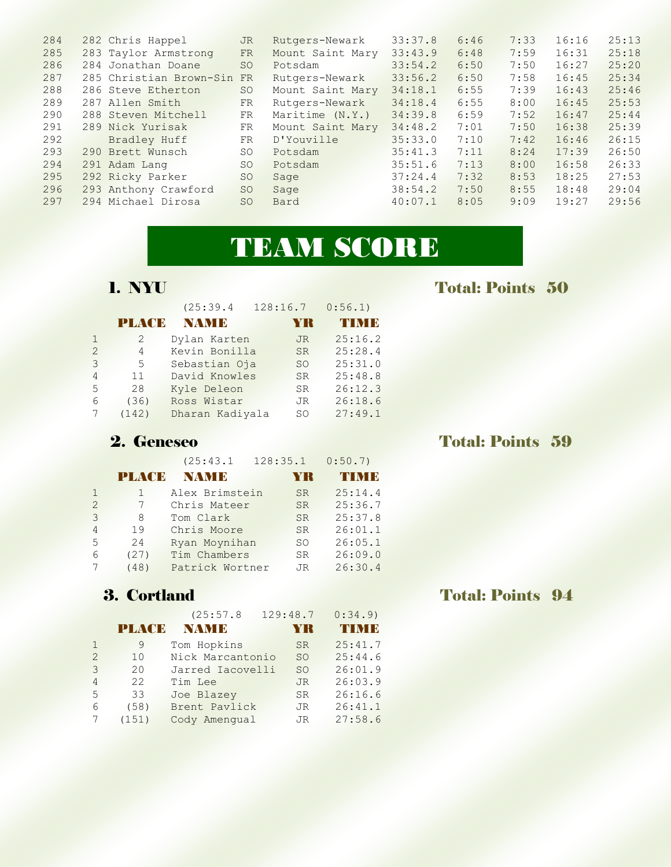| 284<br>285 | 282 Chris Happel           | <b>JR</b>       | Rutgers-Newark   |         |      |      |       |       |
|------------|----------------------------|-----------------|------------------|---------|------|------|-------|-------|
|            |                            |                 |                  | 33:37.8 | 6:46 | 7:33 | 16:16 | 25:13 |
|            | 283 Taylor Armstrong       | <b>FR</b>       | Mount Saint Mary | 33:43.9 | 6:48 | 7:59 | 16:31 | 25:18 |
| 286        | 284 Jonathan Doane         | <b>SO</b>       | Potsdam          | 33:54.2 | 6:50 | 7:50 | 16:27 | 25:20 |
| 287        | 285 Christian Brown-Sin FR |                 | Rutgers-Newark   | 33:56.2 | 6:50 | 7:58 | 16:45 | 25:34 |
| 288        | 286 Steve Etherton         | <b>SO</b>       | Mount Saint Mary | 34:18.1 | 6:55 | 7:39 | 16:43 | 25:46 |
| 289        | 287 Allen Smith            | <b>FR</b>       | Rutgers-Newark   | 34:18.4 | 6:55 | 8:00 | 16:45 | 25:53 |
| 290        | 288 Steven Mitchell        | FR              | Maritime (N.Y.)  | 34:39.8 | 6:59 | 7:52 | 16:47 | 25:44 |
| 291        | 289 Nick Yurisak           | FR              | Mount Saint Mary | 34:48.2 | 7:01 | 7:50 | 16:38 | 25:39 |
| 292        | Bradley Huff               | FR              | D'Youville       | 35:33.0 | 7:10 | 7:42 | 16:46 | 26:15 |
| 293        | 290 Brett Wunsch           | <b>SO</b>       | Potsdam          | 35:41.3 | 7:11 | 8:24 | 17:39 | 26:50 |
| 294        | 291 Adam Lang              | <b>SO</b>       | Potsdam          | 35:51.6 | 7:13 | 8:00 | 16:58 | 26:33 |
| 295        | 292 Ricky Parker           | SO <sub>1</sub> | Sage             | 37:24.4 | 7:32 | 8:53 | 18:25 | 27:53 |
| 296        | 293 Anthony Crawford       | <b>SO</b>       | Sage             | 38:54.2 | 7:50 | 8:55 | 18:48 | 29:04 |
| 297        | 294 Michael Dirosa         | <b>SO</b>       | Bard             | 40:07.1 | 8:05 | 9:09 | 19:27 | 29:56 |

# TEAM SCORE

### 1. NYU Total: Points 50

|               |               | (25:39.4)       | 128:16.7  | 0:56.1)       |
|---------------|---------------|-----------------|-----------|---------------|
|               | <b>PLACE</b>  | <b>NAME</b>     | YR        | <b>THINIR</b> |
|               | $\mathcal{L}$ | Dylan Karten    | JR.       | 25:16.2       |
| $\mathcal{L}$ | 4             | Kevin Bonilla   | SR.       | 25:28.4       |
| 3             | 5             | Sebastian Oja   | SO.       | 25:31.0       |
| 4             | 11            | David Knowles   | SR.       | 25:48.8       |
| 5             | 28            | Kyle Deleon     | <b>SR</b> | 26:12.3       |
| 6             | (36)          | Ross Wistar     | JR.       | 26:18.6       |
|               | (142)         | Dharan Kadiyala | SO.       | 27:49.1       |

### **2. Geneseo Total: Points 59**

|               |              | (25:43.1)       | 128:35.1  | 0:50.7       |
|---------------|--------------|-----------------|-----------|--------------|
|               | <b>PLACE</b> | NAMIR           | YR        | <u>рім в</u> |
|               |              | Alex Brimstein  | SR.       | 25:14.4      |
| $\mathcal{P}$ |              | Chris Mateer    | SR.       | 25:36.7      |
| 3             | 8            | Tom Clark       | <b>SR</b> | 25:37.8      |
| 4             | 19           | Chris Moore     | <b>SR</b> | 26:01.1      |
| 5             | 24           | Ryan Moynihan   | SO.       | 26:05.1      |
| 6             | (27)         | Tim Chambers    | SR.       | 26:09.0      |
|               | (48)         | Patrick Wortner | JR        | 26:30.4      |

|               |               | (25:57.8)        | 129:48.7  | 0:34.9  |
|---------------|---------------|------------------|-----------|---------|
|               | <b>PLAYEE</b> | NAM D            | YR        | TIMB    |
|               | 9             | Tom Hopkins      | SR.       | 25:41.7 |
| $\mathcal{P}$ | 10            | Nick Marcantonio | SO.       | 25:44.6 |
| 3             | 20            | Jarred Iacovelli | SO.       | 26:01.9 |
| 4             | 22            | Tim Lee          | <b>JR</b> | 26:03.9 |
| 5             | 33            | Joe Blazey       | SR.       | 26:16.6 |
| 6             | (58)          | Brent Pavlick    | JR.       | 26:41.1 |
|               | (151)         | Cody Amengual    | JR        | 27:58.6 |

3. Cortland Total: Points 94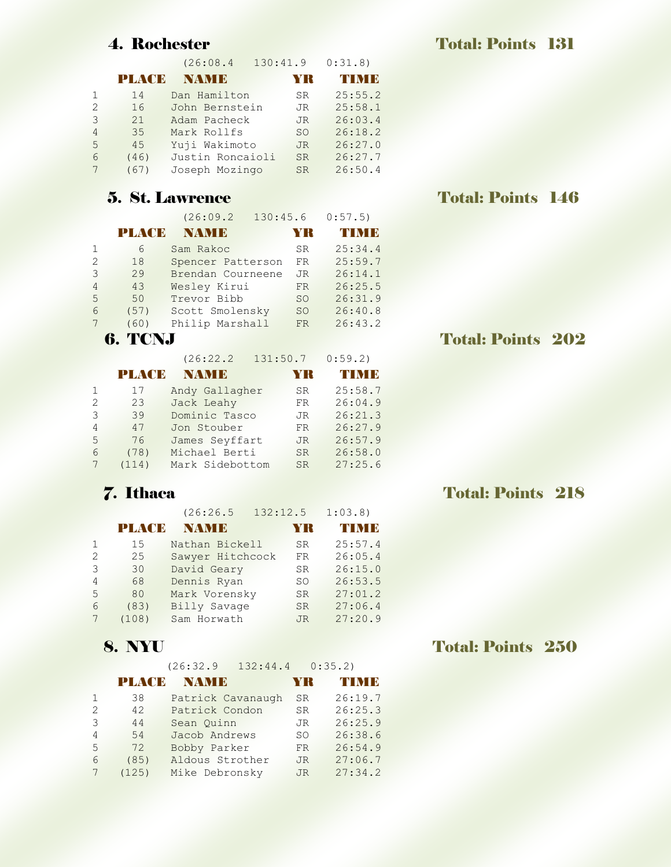|               |              | (26:08.4)        | 130:41.9  | 0:31.8  |
|---------------|--------------|------------------|-----------|---------|
|               | <b>PLACE</b> | NAMI B           |           | ГІМ Н   |
|               | 14           | Dan Hamilton     | SR.       | 25:55.2 |
| $\mathcal{L}$ | 16           | John Bernstein   | JR        | 25:58.1 |
| 3             | 21           | Adam Pacheck     | JR.       | 26:03.4 |
| 4             | 35           | Mark Rollfs      | SO.       | 26:18.2 |
| 5             | 45           | Yuji Wakimoto    | JR.       | 26:27.0 |
| 6             | (46)         | Justin Roncaioli | <b>SR</b> | 26:27.7 |
|               | (67)         | Joseph Mozingo   | <b>SR</b> | 26:50.4 |

(26:09.2 130:45.6 0:57.5)

|               | <b>PLACE</b> | NAMIE             |               | <b>ТРГМ В</b> |
|---------------|--------------|-------------------|---------------|---------------|
|               | 6            | Sam Rakoc         | <b>SR</b>     | 25:34.4       |
| $\mathcal{D}$ | 18           | Spencer Patterson | FR.           | 25:59.7       |
| 3             | 29           | Brendan Courneene | JR.           | 26:14.1       |
| 4             | 43           | Wesley Kirui      | <b>FR</b>     | 26:25.5       |
| 5             | 50           | Trevor Bibb       | SO.           | 26:31.9       |
| 6             | (57)         | Scott Smolensky   | <sub>SO</sub> | 26:40.8       |
|               | (60)         | Philip Marshall   | <b>FR</b>     | 26:43.2       |

|                |       | (26:22.2)       | 131:50.7  | 0:59.2  |
|----------------|-------|-----------------|-----------|---------|
|                | PLACE | NAM B           | YR        |         |
|                | 17    | Andy Gallagher  | SR.       | 25:58.7 |
| $\mathfrak{D}$ | 23    | Jack Leahy      | FR.       | 26:04.9 |
| 3              | 39    | Dominic Tasco   | JR.       | 26:21.3 |
| 4              | 47    | Jon Stouber     | FR.       | 26:27.9 |
| 5              | 76    | James Seyffart  | JR.       | 26:57.9 |
| 6              | (78)  | Michael Berti   | <b>SR</b> | 26:58.0 |
|                | (114) | Mark Sidebottom | <b>SR</b> | 27:25.6 |

|                |              | (26:26.5         | 132:12.5  | 1:03.8  |
|----------------|--------------|------------------|-----------|---------|
|                | <b>PLATE</b> | NAM B            | YR        | I'I MEG |
|                | 15           | Nathan Bickell   | SR.       | 25:57.4 |
| $\mathfrak{D}$ | 25           | Sawyer Hitchcock | FR        | 26:05.4 |
| 3              | 30           | David Geary      | SR.       | 26:15.0 |
| 4              | 68           | Dennis Ryan      | SO.       | 26:53.5 |
| 5              | 80           | Mark Vorensky    | SR.       | 27:01.2 |
| 6              | (83)         | Billy Savage     | <b>SR</b> | 27:06.4 |
|                | (108)        | Sam Horwath      | <b>JR</b> | 27:20.9 |

(26:32.9 132:44.4 0:35.2)

|               | PLACE | NAMI B            |           | л в     |
|---------------|-------|-------------------|-----------|---------|
|               | 38    | Patrick Cavanaugh | <b>SR</b> | 26:19.7 |
| $\mathcal{P}$ | 42    | Patrick Condon    | SR.       | 26:25.3 |
| 3             | 44    | Sean Quinn        | JR.       | 26:25.9 |
| 4             | 54    | Jacob Andrews     | SO.       | 26:38.6 |
| 5.            | 72    | Bobby Parker      | FR        | 26:54.9 |
| 6             | (85)  | Aldous Strother   | JR.       | 27:06.7 |
|               | (125) | Mike Debronsky    | JR.       | 27:34.2 |

### **4. Rochester Total: Points 131**

### **5. St. Lawrence** Total: Points 146

6. TCNJ Total: Points 202

### **7. Ithaca** Total: Points 218

### 8. NYU Total: Points 250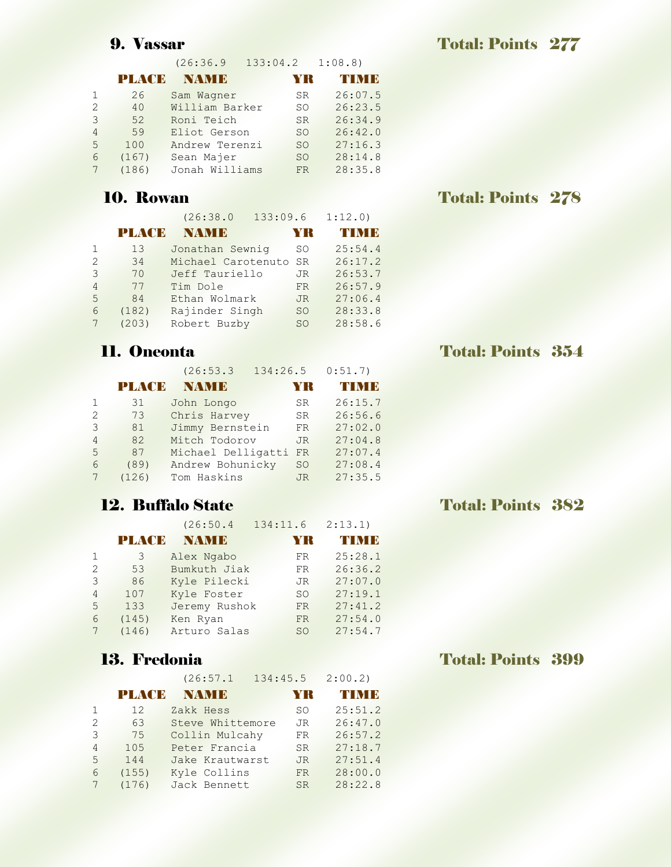|                |              | (26:36.9)      |           | $133:04.2$ $1:08.8$ |
|----------------|--------------|----------------|-----------|---------------------|
|                | <b>PLACE</b> | NAMI E         | YR        | TN N I B            |
|                | 26           | Sam Waqner     | SR.       | 26:07.5             |
| 2              | 40           | William Barker | SO        | 26:23.5             |
| 3              | 52           | Roni Teich     | SR.       | 26:34.9             |
| $\overline{4}$ | 59           | Eliot Gerson   | SO.       | 26:42.0             |
| 5              | 100          | Andrew Terenzi | SO.       | 27:16.3             |
| 6              | (167)        | Sean Majer     | SO.       | 28:14.8             |
|                | (186)        | Jonah Williams | <b>FR</b> | 28:35.8             |

|   |               | (26:38.0              |               | $133:09.6$ $1:12.0$ |
|---|---------------|-----------------------|---------------|---------------------|
|   | <b>PLAYED</b> | NAMI D                | YR            | TI ME               |
|   | 13            | Jonathan Sewnig       | SO.           | 25:54.4             |
| 2 | 34            | Michael Carotenuto SR |               | 26:17.2             |
| 3 | 70            | Jeff Tauriello        | JR.           | 26:53.7             |
| 4 | 77            | Tim Dole              | FR            | 26:57.9             |
| 5 | 84            | Ethan Wolmark         | JR.           | 27:06.4             |
| 6 | (182)         | Rajinder Singh        | SO.           | 28:33.8             |
|   | (203)         | Robert Buzby          | <sub>SO</sub> | 28:58.6             |

|   |       | (26:53.3)          | 134:26.5  | 0:51.7) |
|---|-------|--------------------|-----------|---------|
|   | PLACE | NAM B              |           | NM B    |
|   | 31    | John Longo         | <b>SR</b> | 26:15.7 |
| 2 | 73    | Chris Harvey       | SR.       | 26:56.6 |
| 3 | 81    | Jimmy Bernstein    | FR        | 27:02.0 |
| 4 | 82    | Mitch Todorov      | JR.       | 27:04.8 |
| 5 | 87    | Michael Delligatti | FR        | 27:07.4 |
| 6 | (89)  | Andrew Bohunicky   | <b>SO</b> | 27:08.4 |
|   | (126) | Tom Haskins        | <b>JR</b> | 27:35.5 |

# 12. Buffalo State Total: Points 382

|   |        | (26:50.4)     | 134:11.6  | 2:13.1  |
|---|--------|---------------|-----------|---------|
|   | PLACIE | <b>NAME</b>   | YR        | TIMB    |
|   | 3      | Alex Ngabo    | FR.       | 25:28.1 |
| 2 | 53     | Bumkuth Jiak  | FR.       | 26:36.2 |
| 3 | 86     | Kyle Pilecki  | JR.       | 27:07.0 |
| 4 | 107    | Kyle Foster   | SO.       | 27:19.1 |
| 5 | 133    | Jeremy Rushok | FR.       | 27:41.2 |
| 6 | (145)  | Ken Ryan      | <b>FR</b> | 27:54.0 |
|   | (146)  | Arturo Salas  | <b>SO</b> | 27:54.7 |

|               |              | (26:57.1)        | 134:45.5  | 2:00.2  |
|---------------|--------------|------------------|-----------|---------|
|               | <b>PLACE</b> | NAM B            | YR        | I'I MET |
|               | 12           | Zakk Hess        | <b>SO</b> | 25:51.2 |
| $\mathcal{L}$ | 63           | Steve Whittemore | <b>JR</b> | 26:47.0 |
| 3             | 75           | Collin Mulcahy   | FR.       | 26:57.2 |
| 4             | 105          | Peter Francia    | <b>SR</b> | 27:18.7 |
| 5             | 144          | Jake Krautwarst  | JR.       | 27:51.4 |
| 6             | (155)        | Kyle Collins     | FR.       | 28:00.0 |
|               | (176)        | Jack Bennett     | SR.       | 28:22.8 |

# 10. Rowan Total: Points 278

# 11. Oneonta Total: Points 354

### 13. Fredonia de la componente de la componente de la componente de la componente de la componente de la compo

### **9. Vassar Total: Points 277**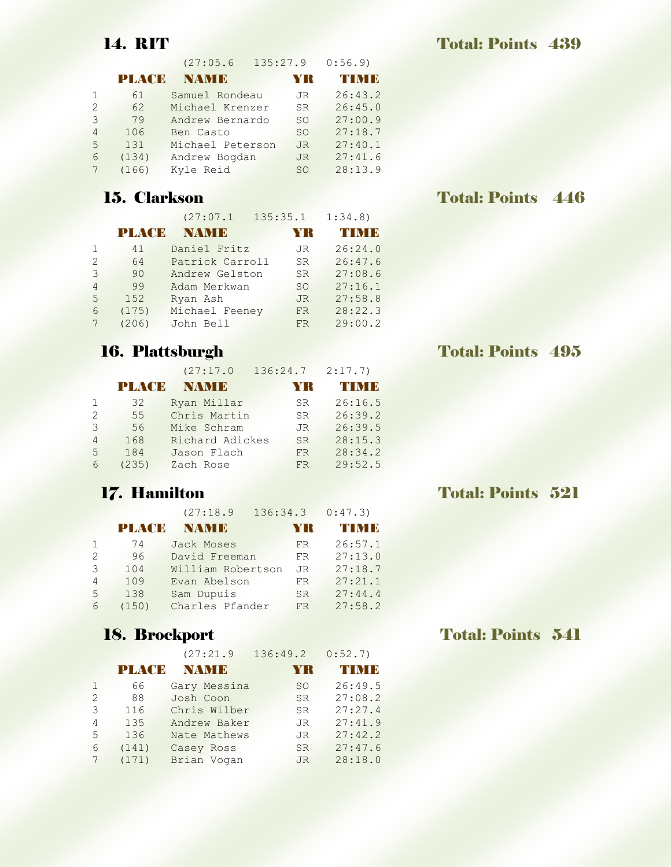|                |               | (27:05.6)        |           | $135:27.9$ 0:56.9) |
|----------------|---------------|------------------|-----------|--------------------|
|                | <b>PLAYEE</b> | <b>NAME</b>      | YR        | TIME               |
|                | 61            | Samuel Rondeau   | JR        | 26:43.2            |
| 2              | 62            | Michael Krenzer  | SR        | 26:45.0            |
| 3              | 79            | Andrew Bernardo  | SO        | 27:00.9            |
| $\overline{4}$ | 106           | Ben Casto        | <b>SO</b> | 27:18.7            |
| 5              | 131           | Michael Peterson | JR.       | 27:40.1            |
| 6              | (134)         | Andrew Bogdan    | JR        | 27:41.6            |
|                | (166)         | Kyle Reid        | <b>SO</b> | 28:13.9            |

|   |              | (27:07.1        | 135:35.1 |           | 1:34.8  |
|---|--------------|-----------------|----------|-----------|---------|
|   | <b>PLACE</b> | NAMI E          |          |           | ГІМ В   |
|   | 41           | Daniel Fritz    |          | JR.       | 26:24.0 |
| 2 | 64           | Patrick Carroll |          | <b>SR</b> | 26:47.6 |
| 3 | 90           | Andrew Gelston  |          | <b>SR</b> | 27:08.6 |
| 4 | 99           | Adam Merkwan    |          | SO.       | 27:16.1 |
| 5 | 152          | Ryan Ash        |          | JR.       | 27:58.8 |
| 6 | (175)        | Michael Feeney  |          | <b>FR</b> | 28:22.3 |
|   | (206)        | John Bell       |          | <b>FR</b> | 29:00.2 |

# **16. Plattsburgh Total: Points 495**

|   |              | (27:17.0        |           | $136:24.7$ $2:17.7$ |
|---|--------------|-----------------|-----------|---------------------|
|   | <b>PLACE</b> | NAMI E          | YR        | <b>TIME</b>         |
|   | 32           | Ryan Millar     | SR.       | 26:16.5             |
|   | 55           | Chris Martin    | SR        | 26:39.2             |
| 3 | 56           | Mike Schram     | JR.       | 26:39.5             |
| 4 | 168          | Richard Adickes | <b>SR</b> | 28:15.3             |
| 5 | 184          | Jason Flach     | FR.       | 28:34.2             |
| 6 | (235)        | Zach Rose       | FR        | 29:52.5             |

# 17. Hamilton Total: Points 521

|   |              | (27:18.9          | $136:34.3$ $0:47.3$ |         |
|---|--------------|-------------------|---------------------|---------|
|   | <b>PLACE</b> | NAMIN             | YK                  | TIME    |
|   | 74           | Jack Moses        | <b>FR</b>           | 26:57.1 |
| 2 | 96           | David Freeman     | FR.                 | 27:13.0 |
| 3 | 104          | William Robertson | JR                  | 27:18.7 |
| 4 | 109          | Evan Abelson      | FR                  | 27:21.1 |
| 5 | 138          | Sam Dupuis        | SR.                 | 27:44.4 |
| 6 | (150)        | Charles Pfander   | FR                  | 27:58.2 |

# 18. Brockport Total: Points 541

|   |       | (27:21.9     | 136:49.2 | 0:52.7        |
|---|-------|--------------|----------|---------------|
|   | PLACE | <b>NAME</b>  | YR       | <b>THINIB</b> |
|   | 66    | Gary Messina | SO.      | 26:49.5       |
| 2 | 88    | Josh Coon    | SR.      | 27:08.2       |
| 3 | 116   | Chris Wilber | SR.      | 27:27.4       |
| 4 | 135   | Andrew Baker | JR.      | 27:41.9       |
| 5 | 136   | Nate Mathews | JR.      | 27:42.2       |
| 6 | (141) | Casey Ross   | SR.      | 27:47.6       |
|   | (171) | Brian Vogan  | JR.      | 28:18.0       |

### 15. Clarkson Total: Points 446

**14. RIT Total: Points 439**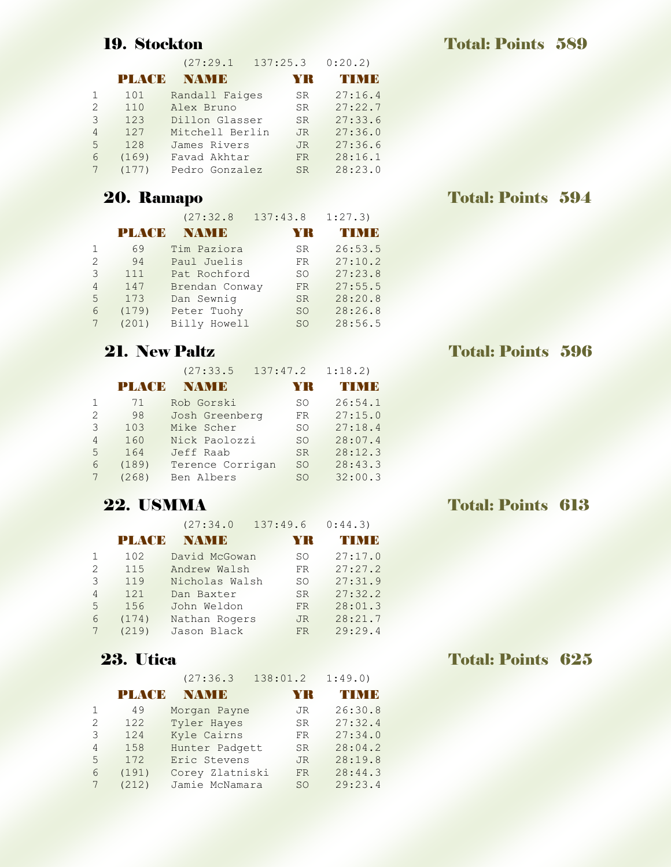|                |              | (27:29.1        | $137:25.3$ $0:20.2$ |          |
|----------------|--------------|-----------------|---------------------|----------|
|                | <b>PLACE</b> | NAMIE           | YR                  | TN N I B |
|                | 101          | Randall Faiges  | SR.                 | 27:16.4  |
| 2              | 110          | Alex Bruno      | SR                  | 27:22.7  |
| 3              | 123          | Dillon Glasser  | <b>SR</b>           | 27:33.6  |
| $\overline{4}$ | 127          | Mitchell Berlin | JR.                 | 27:36.0  |
| 5              | 128          | James Rivers    | JR.                 | 27:36.6  |
| 6              | (169)        | Favad Akhtar    | FR.                 | 28:16.1  |
|                |              | Pedro Gonzalez  | SR.                 | 28:23.0  |

|   |              | (27:32.8)      | 137:43.8  | 1:27.3      |
|---|--------------|----------------|-----------|-------------|
|   | <b>PLACE</b> | <b>NAMIE</b>   | YR        | <b>TIMB</b> |
|   | 69           | Tim Paziora    | SR.       | 26:53.5     |
| 2 | 94           | Paul Juelis    | FR        | 27:10.2     |
| 3 | 111          | Pat Rochford   | SO        | 27:23.8     |
| 4 | 147          | Brendan Conway | FR.       | 27:55.5     |
| 5 | 173          | Dan Sewnig     | SR.       | 28:20.8     |
| 6 | (179)        | Peter Tuohy    | SO.       | 28:26.8     |
|   | (201)        | Billy Howell   | <b>SO</b> | 28:56.5     |

|   |              | (27:33.5         | 137:47.2        | 1:18.2)    |
|---|--------------|------------------|-----------------|------------|
|   | <b>PLACE</b> | NAM B            | YR              | <b>NME</b> |
|   | 71           | Rob Gorski       | SO.             | 26:54.1    |
| 2 | 98           | Josh Greenberg   | FR              | 27:15.0    |
| 3 | 103          | Mike Scher       | SO.             | 27:18.4    |
| 4 | 160          | Nick Paolozzi    | SO.             | 28:07.4    |
| 5 | 164          | Jeff Raab        | <b>SR</b>       | 28:12.3    |
| 6 | (189)        | Terence Corrigan | SO <sub>1</sub> | 28:43.3    |
|   | (268)        | Ben Albers       | <b>SO</b>       | 32:00.3    |

|   |              | (27:34.0       | 137:49.6  | 0:44.3  |
|---|--------------|----------------|-----------|---------|
|   | <b>PLACE</b> | NAMI B         | YR        | TIMB    |
|   | 102          | David McGowan  | SO.       | 27:17.0 |
| 2 | 115          | Andrew Walsh   | FR        | 27:27.2 |
| 3 | 119          | Nicholas Walsh | SO        | 27:31.9 |
| 4 | 121          | Dan Baxter     | SR.       | 27:32.2 |
| 5 | 156          | John Weldon    | <b>FR</b> | 28:01.3 |
| 6 | (174)        | Nathan Rogers  | JR.       | 28:21.7 |
|   | (219)        | Jason Black    | <b>FR</b> | 29:29.4 |

|               |        | (27:36.3)       | 138:01.2  | 1:49.0) |
|---------------|--------|-----------------|-----------|---------|
|               | PLACIE | NAM D           | YR        | TIME    |
|               | 49     | Morgan Payne    | JR        | 26:30.8 |
| $\mathcal{L}$ | 122    | Tyler Hayes     | SR.       | 27:32.4 |
| 3             | 124    | Kyle Cairns     | FR        | 27:34.0 |
| 4             | 158    | Hunter Padgett  | <b>SR</b> | 28:04.2 |
| 5             | 172    | Eric Stevens    | JR.       | 28:19.8 |
| 6             | (191)  | Corey Zlatniski | <b>FR</b> | 28:44.3 |
|               | (212)  | Jamie McNamara  | SO.       | 29:23.4 |

# 20. Ramapo Total: Points 594

# **21. New Paltz Total: Points 596**

# **22. USMMA** Total: Points 613

### **23.** Utica Total: Points 625

# 19. Stockton Total: Points 589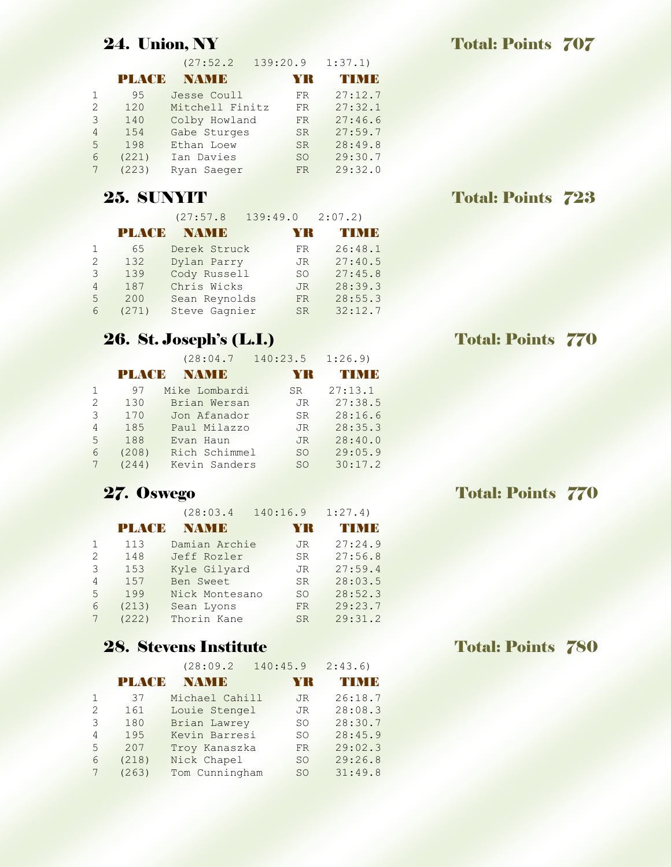|   |              | (27:52.2)       | 139:20.9  | 1:37.1) |
|---|--------------|-----------------|-----------|---------|
|   | <b>PLACE</b> | <b>NAMIE</b>    | YR        | TIME    |
|   | 95           | Jesse Coull     | FR.       | 27:12.7 |
| 2 | 120          | Mitchell Finitz | FR.       | 27:32.1 |
| 3 | 140          | Colby Howland   | FR.       | 27:46.6 |
| 4 | 154          | Gabe Sturges    | SR.       | 27:59.7 |
| 5 | 198          | Ethan Loew      | <b>SR</b> | 28:49.8 |
| 6 | (221)        | Ian Davies      | SO.       | 29:30.7 |
|   | (223)        | Ryan Saeger     | <b>FR</b> | 29:32.0 |

 (27:57.8 139:49.0 2:07.2) PLACE NAME YR TIME 1 65 Derek Struck FR 26:48.1 2 132 Dylan Parry JR 27:40.5 3 139 Cody Russell SO 27:45.8 4 187 Chris Wicks JR 28:39.3 5 200 Sean Reynolds FR 28:55.3 6 (271) Steve Gagnier SR 32:12.7

### 26. St. Joseph's (L.I.) Total: Points 770

|   |              | (28:04.7      | 140:23.5      | 1:26.9  |
|---|--------------|---------------|---------------|---------|
|   | <b>PLACE</b> | NAMIR         |               | гімк    |
|   | 97           | Mike Lombardi | SR.           | 27:13.1 |
| 2 | 130          | Brian Wersan  | JR.           | 27:38.5 |
| 3 | 170          | Jon Afanador  | <b>SR</b>     | 28:16.6 |
| 4 | 185          | Paul Milazzo  | JR.           | 28:35.3 |
| 5 | 188          | Evan Haun     | JR.           | 28:40.0 |
| 6 | (208)        | Rich Schimmel | <sub>SO</sub> | 29:05.9 |
|   | (244)        | Kevin Sanders | <b>SO</b>     | 30:17.2 |

|    |              | (28:03.4)      | 140:16.9  | 1:27.4) |
|----|--------------|----------------|-----------|---------|
|    | <b>PLACE</b> | NAM B          | YR        | TIME    |
| 1. | 113          | Damian Archie  | <b>JR</b> | 27:24.9 |
| 2  | 148          | Jeff Rozler    | SR.       | 27:56.8 |
| 3  | 153          | Kyle Gilyard   | JR.       | 27:59.4 |
| 4  | 157          | Ben Sweet      | <b>SR</b> | 28:03.5 |
| 5  | 199          | Nick Montesano | <b>SO</b> | 28:52.3 |
| 6  | (213)        | Sean Lyons     | FR.       | 29:23.7 |
|    | (222)        | Thorin Kane    | <b>SR</b> | 29:31.2 |

### **28. Stevens Institute Total: Points 780**

|   |       | (28:09.2)      | 140:45.9  | 2:43.6  |
|---|-------|----------------|-----------|---------|
|   | PLACE | <b>NAME</b>    | YR        | TIME    |
|   | 37    | Michael Cahill | <b>JR</b> | 26:18.7 |
| 2 | 161   | Louie Stengel  | JR.       | 28:08.3 |
| 3 | 180   | Brian Lawrey   | SO.       | 28:30.7 |
| 4 | 195   | Kevin Barresi  | SO.       | 28:45.9 |
| 5 | 207   | Troy Kanaszka  | FR        | 29:02.3 |
| 6 | (218) | Nick Chapel    | <b>SO</b> | 29:26.8 |
|   | (263) | Tom Cunningham | <b>SO</b> | 31:49.8 |

### 25. SUNYIT Total: Points 723

### 27. Oswego Total: Points 770

### 24. Union, NY Total: Points 707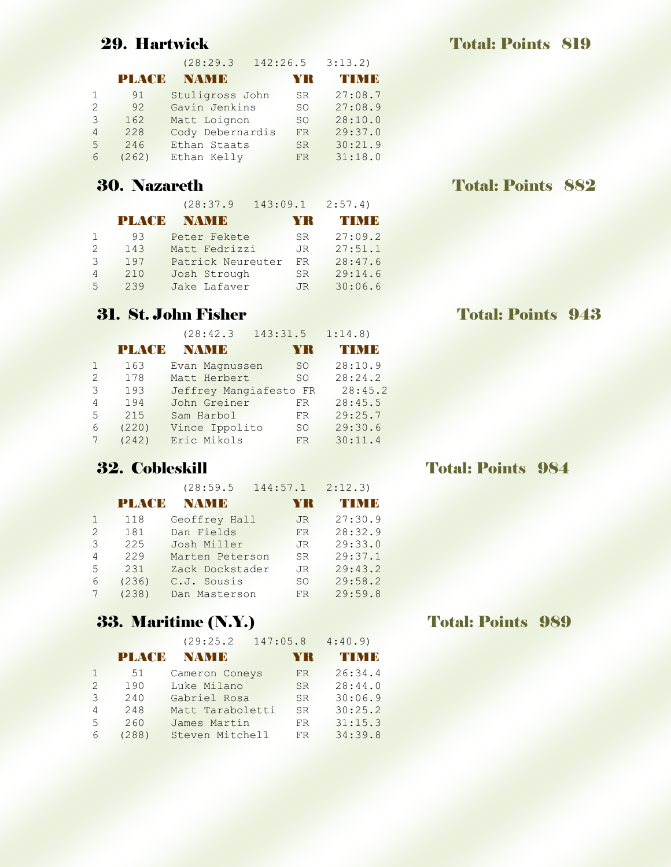|   |               | (28:29.3)        | 142:26.5  | 3:13.2  |
|---|---------------|------------------|-----------|---------|
|   | <b>PLAYEE</b> | NAMI E           | YR        | TIM B   |
|   | 91            | Stuligross John  | SR.       | 27:08.7 |
| 2 | 92            | Gavin Jenkins    | SO.       | 27:08.9 |
| 3 | 162           | Matt Loignon     | SO.       | 28:10.0 |
| 4 | 228           | Cody Debernardis | <b>FR</b> | 29:37.0 |
| 5 | 246           | Ethan Staats     | <b>SR</b> | 30:21.9 |
| 6 | (262)         | Ethan Kelly      | <b>FR</b> | 31:18.0 |

### **30. Nazareth Total: Points 882**

|    |              | (28:37.9          | $143:09.1$ $2:57.4$ |         |
|----|--------------|-------------------|---------------------|---------|
|    | <b>PLACE</b> | NAM B             | YR                  | TIME    |
|    | 93           | Peter Fekete      | SR.                 | 27:09.2 |
|    | 143          | Matt Fedrizzi     | JR                  | 27:51.1 |
| 3  | 197          | Patrick Neureuter | FR                  | 28:47.6 |
| 4  | 210          | Josh Strough      | SR.                 | 29:14.6 |
| 5. | 239          | Jake Lafaver      | JR.                 | 30:06.6 |

|    |       | (28:42.3)              | 143:31.5      | 1:14.8  |
|----|-------|------------------------|---------------|---------|
|    | PLACE | <b>NAMIE</b>           | YR            | TIME    |
| 1. | 163   | Evan Magnussen         | <sub>SO</sub> | 28:10.9 |
| 2  | 178   | Matt Herbert           | <b>SO</b>     | 28:24.2 |
| 3  | 193   | Jeffrey Mangiafesto FR |               | 28:45.2 |
| 4  | 194   | John Greiner           | FR            | 28:45.5 |
| 5  | 215   | Sam Harbol             | FR            | 29:25.7 |
| 6  | (220) | Vince Ippolito         | SO.           | 29:30.6 |
|    | (242) | Eric Mikols            | FR            | 30:11.4 |

|   |       | (28:59.5)       |     | $144:57.1$ $2:12.3$ |
|---|-------|-----------------|-----|---------------------|
|   | PLACE | NAMI D          | YR  | TIMB                |
|   | 118   | Geoffrey Hall   | JR. | 27:30.9             |
| 2 | 181   | Dan Fields      | FR. | 28:32.9             |
| 3 | 225   | Josh Miller     | JR. | 29:33.0             |
| 4 | 229   | Marten Peterson | SR  | 29:37.1             |
| 5 | 231   | Zack Dockstader | JR. | 29:43.2             |
| 6 | (236) | C.J. Sousis     | SO. | 29:58.2             |
|   | (238) | Dan Masterson   | FR  | 29:59.8             |

# 33. Maritime (N.Y.) Total: Points 989

|                |              | (29:25.2)        | 147:05.8  | 4:40.9      |
|----------------|--------------|------------------|-----------|-------------|
|                | <b>PLACE</b> | NAMIR            | YR        | <b>TIME</b> |
|                | 51           | Cameron Coneys   | FR.       | 26:34.4     |
| $\overline{2}$ | 190          | Luke Milano      | <b>SR</b> | 28:44.0     |
| 3              | 240          | Gabriel Rosa     | <b>SR</b> | 30:06.9     |
| 4              | 248          | Matt Taraboletti | SR.       | 30:25.2     |
| 5              | 260          | James Martin     | FR        | 31:15.3     |
| 6              | (288)        | Steven Mitchell  | FR        | 34:39.8     |

### **31. St. John Fisher Total: Points 943**

### **32. Cobleskill Total: Points 984**

# **29. Hartwick Total: Points 819**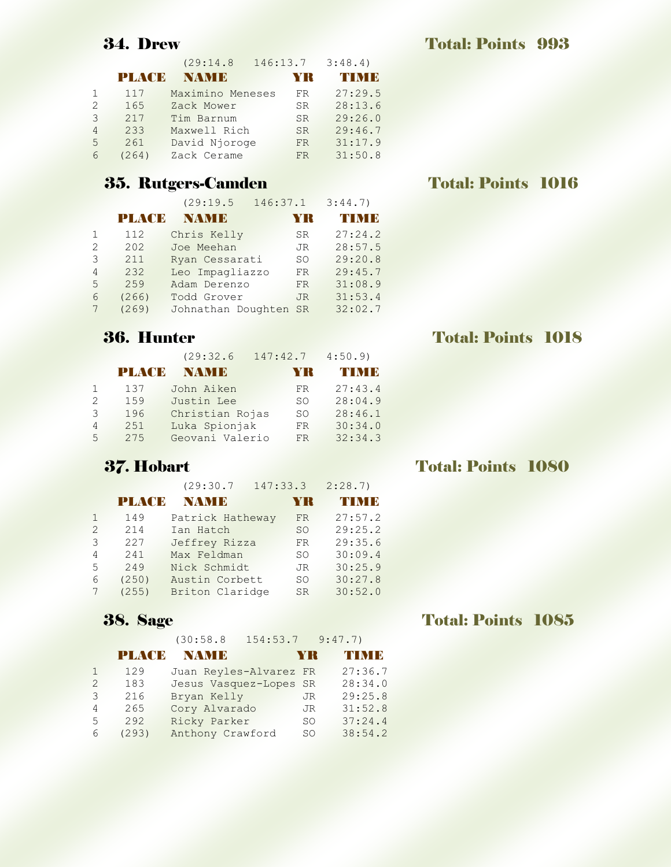|                |               | (29:14.8)        | 146:13.7  | 3:48.4    |
|----------------|---------------|------------------|-----------|-----------|
|                | <b>PLAYEE</b> | NAM B            | YR        | 4 Y N 1 B |
|                | 117           | Maximino Meneses | FR        | 27:29.5   |
| $\mathcal{L}$  | 165           | Zack Mower       | SR.       | 28:13.6   |
| 3              | 217           | Tim Barnum       | SR.       | 29:26.0   |
| $\overline{4}$ | 233           | Maxwell Rich     | <b>SR</b> | 29:46.7   |
| 5              | 261           | David Njoroge    | <b>FR</b> | 31:17.9   |
| 6              | (264)         | Zack Cerame      | FR        | 31:50.8   |

# 35. Rutgers-Camden Total: Points 1016

|   |               | (29:19.5              | 146:37.1 | 3:44.7        |
|---|---------------|-----------------------|----------|---------------|
|   | <b>PLAYEE</b> | <b>NAMIE</b>          | YR       | <b>THINIB</b> |
|   | 112           | Chris Kelly           | SR.      | 27:24.2       |
| 2 | 202           | Joe Meehan            | JR.      | 28:57.5       |
| 3 | 211           | Ryan Cessarati        | SO.      | 29:20.8       |
| 4 | 232           | Leo Impagliazzo       | FR.      | 29:45.7       |
| 5 | 259           | Adam Derenzo          | FR.      | 31:08.9       |
| 6 | (266)         | Todd Grover           | JR.      | 31:53.4       |
|   | (269)         | Johnathan Doughten SR |          | 32:02.7       |

|   |               | (29:32.6)       | 147:42.7 | 4:50.9  |
|---|---------------|-----------------|----------|---------|
|   | <b>PLAYER</b> | NAMIE           | YR       | TIME    |
|   | 137           | John Aiken      | FR.      | 27:43.4 |
|   | 159           | Justin Lee      | SO.      | 28:04.9 |
| २ | 196           | Christian Rojas | SO.      | 28:46.1 |
| 4 | 251           | Luka Spionjak   | FR.      | 30:34.0 |
| 5 | 275           | Geovani Valerio | FR.      | 32:34.3 |

|   |              | (29:30.7         | 147:33.3 |           | 2:28.7  |
|---|--------------|------------------|----------|-----------|---------|
|   | <b>PLACE</b> | <b>NAME</b>      |          | YR        | TI ME   |
|   | 149          | Patrick Hatheway |          | <b>FR</b> | 27:57.2 |
| 2 | 214          | Ian Hatch        |          | <b>SO</b> | 29:25.2 |
| 3 | 227          | Jeffrey Rizza    |          | <b>FR</b> | 29:35.6 |
| 4 | 241          | Max Feldman      |          | SO.       | 30:09.4 |
| 5 | 249          | Nick Schmidt     |          | JR.       | 30:25.9 |
| 6 | (250)        | Austin Corbett   |          | SO.       | 30:27.8 |
|   | (255)        | Briton Claridge  |          | <b>SR</b> | 30:52.0 |

### **38. Sage Total: Points 1085**

(30:58.8 154:53.7 9:47.7)

|               | <b>PLACE</b> | <b>NAME</b>            | YR  | <b>MNATH</b> |
|---------------|--------------|------------------------|-----|--------------|
|               | 129          | Juan Reyles-Alvarez FR |     | 27:36.7      |
| $\mathcal{P}$ | 183          | Jesus Vasquez-Lopes SR |     | 28:34.0      |
| 3             | 216          | Bryan Kelly            | JR. | 29:25.8      |
| 4             | 265          | Cory Alvarado          | JR  | 31:52.8      |
| .5            | 292          | Ricky Parker           | SO. | 37:24.4      |
| 6             | (293)        | Anthony Crawford       | SO. | 38:54.2      |

# **36. Hunter Total: Points 1018**

### **37. Hobart Total: Points 1080**

# **34. Drew Total: Points 993**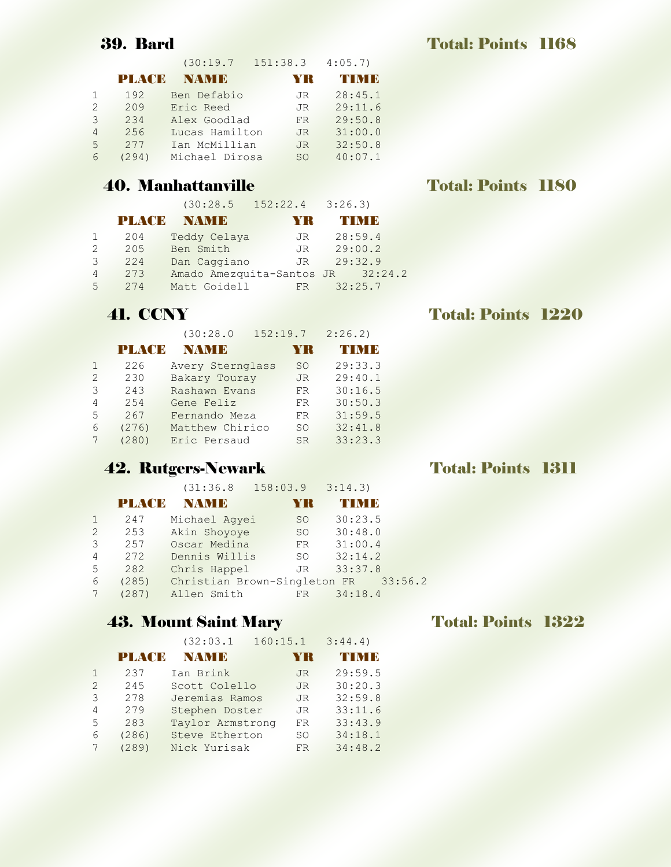### **39. Bard**

| <b>1168</b><br><b>Total: Points</b> |
|-------------------------------------|
|-------------------------------------|

|   |              | (30:19.7)      | 151:38.3  | 4:05.7 |         |
|---|--------------|----------------|-----------|--------|---------|
|   | <b>PLACE</b> | NAM B          | YR        |        | TIMB    |
|   | 192          | Ben Defabio    | JR        |        | 28:45.1 |
| 2 | 209          | Eric Reed      | JR.       |        | 29:11.6 |
| 3 | 234          | Alex Goodlad   | FR.       |        | 29:50.8 |
| 4 | 256          | Lucas Hamilton | JR.       |        | 31:00.0 |
| 5 | 277          | Ian McMillian  | JR.       |        | 32:50.8 |
| 6 | (294)        | Michael Dirosa | <b>SO</b> |        | 40:07.1 |

|                |              | $(30:28.5 \quad 152:22.4 \quad 3:26.3)$ |     |           |  |
|----------------|--------------|-----------------------------------------|-----|-----------|--|
|                | <b>PLACE</b> | NAMB                                    | YR  | 4 Y N 1 B |  |
|                | 204          | Teddy Celaya                            | JR. | 28:59.4   |  |
| 2              | 205          | Ben Smith                               | JR  | 29:00.2   |  |
| 3              | 224          | Dan Caggiano                            | JR  | 29:32.9   |  |
| $\overline{4}$ | 273          | Amado Amezquita-Santos JR 32:24.2       |     |           |  |
| 5              | 274          | Matt Goidell                            | FR  | 32:25.7   |  |

|    |       | (30:28.0         | 152:19.7      | 2:26.2  |
|----|-------|------------------|---------------|---------|
|    | PLACE | NAM B            | YR            | ГИН Е   |
|    | 226   | Avery Sternglass | <sub>SO</sub> | 29:33.3 |
| 2  | 230   | Bakary Touray    | <b>JR</b>     | 29:40.1 |
| 3  | 243   | Rashawn Evans    | FR.           | 30:16.5 |
| 4  | 254   | Gene Feliz       | FR.           | 30:50.3 |
| 5. | 267   | Fernando Meza    | FR            | 31:59.5 |
| 6  | (276) | Matthew Chirico  | SO.           | 32:41.8 |
|    | (280) | Eric Persaud     | SR.           | 33:23.3 |

# **42. Rutgers-Newark Total: Points 1311**

|                |       | (31:36.8)                            | $158:03.9$ $3:14.3$ |          |  |
|----------------|-------|--------------------------------------|---------------------|----------|--|
|                | PLACE | <b>NAMIE</b>                         | YR                  | TN N I B |  |
|                | 247   | Michael Agyei                        | <b>SO</b>           | 30:23.5  |  |
| $\overline{2}$ | 253   | Akin Shoyoye                         | SO                  | 30:48.0  |  |
| 3              | 257   | Oscar Medina                         | FR                  | 31:00.4  |  |
| 4              | 272   | Dennis Willis                        | SO                  | 32:14.2  |  |
| 5              | 282   | Chris Happel                         | JR                  | 33:37.8  |  |
| 6              | (285) | Christian Brown-Singleton FR 33:56.2 |                     |          |  |
|                | (287) | Allen Smith                          | FR                  | 34:18.4  |  |

# **43. Mount Saint Mary Total: Points 1322**

|  | $(32:03.1 \quad 160:15.1 \quad 3:44.4)$ |  |
|--|-----------------------------------------|--|
|  |                                         |  |

|               | PLACE | <b>NAME</b>      | YK        | TIME    |
|---------------|-------|------------------|-----------|---------|
|               | 237   | Ian Brink        | <b>JR</b> | 29:59.5 |
| $\mathcal{L}$ | 245   | Scott Colello    | <b>JR</b> | 30:20.3 |
| 3             | 278   | Jeremias Ramos   | JR.       | 32:59.8 |
| 4             | 279   | Stephen Doster   | JR.       | 33:11.6 |
| 5             | 283   | Taylor Armstrong | FR        | 33:43.9 |
| 6             | (286) | Steve Etherton   | SO.       | 34:18.1 |
|               | (289) | Nick Yurisak     | FR.       | 34:48.2 |

### 40. Manhattanville Total: Points 1180

# 41. CCNY Total: Points 1220